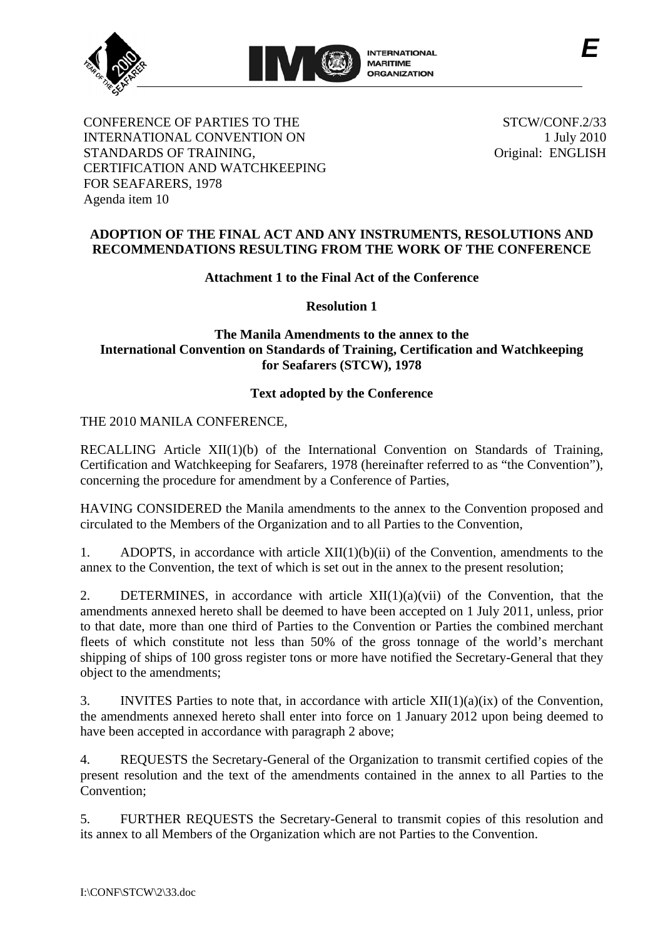



CONFERENCE OF PARTIES TO THE INTERNATIONAL CONVENTION ON STANDARDS OF TRAINING, CERTIFICATION AND WATCHKEEPING FOR SEAFARERS, 1978 Agenda item 10

STCW/CONF.2/33 1 July 2010 Original: ENGLISH

*E*

## **ADOPTION OF THE FINAL ACT AND ANY INSTRUMENTS, RESOLUTIONS AND RECOMMENDATIONS RESULTING FROM THE WORK OF THE CONFERENCE**

# **Attachment 1 to the Final Act of the Conference**

**Resolution 1** 

# **The Manila Amendments to the annex to the International Convention on Standards of Training, Certification and Watchkeeping for Seafarers (STCW), 1978**

# **Text adopted by the Conference**

THE 2010 MANILA CONFERENCE,

RECALLING Article XII(1)(b) of the International Convention on Standards of Training, Certification and Watchkeeping for Seafarers, 1978 (hereinafter referred to as "the Convention"), concerning the procedure for amendment by a Conference of Parties,

HAVING CONSIDERED the Manila amendments to the annex to the Convention proposed and circulated to the Members of the Organization and to all Parties to the Convention,

1. ADOPTS, in accordance with article XII(1)(b)(ii) of the Convention, amendments to the annex to the Convention, the text of which is set out in the annex to the present resolution;

2. DETERMINES, in accordance with article  $XII(1)(a)(vii)$  of the Convention, that the amendments annexed hereto shall be deemed to have been accepted on 1 July 2011, unless, prior to that date, more than one third of Parties to the Convention or Parties the combined merchant fleets of which constitute not less than 50% of the gross tonnage of the world's merchant shipping of ships of 100 gross register tons or more have notified the Secretary-General that they object to the amendments;

3. INVITES Parties to note that, in accordance with article  $XII(1)(a)(ix)$  of the Convention, the amendments annexed hereto shall enter into force on 1 January 2012 upon being deemed to have been accepted in accordance with paragraph 2 above;

4. REQUESTS the Secretary-General of the Organization to transmit certified copies of the present resolution and the text of the amendments contained in the annex to all Parties to the Convention;

5. FURTHER REQUESTS the Secretary-General to transmit copies of this resolution and its annex to all Members of the Organization which are not Parties to the Convention.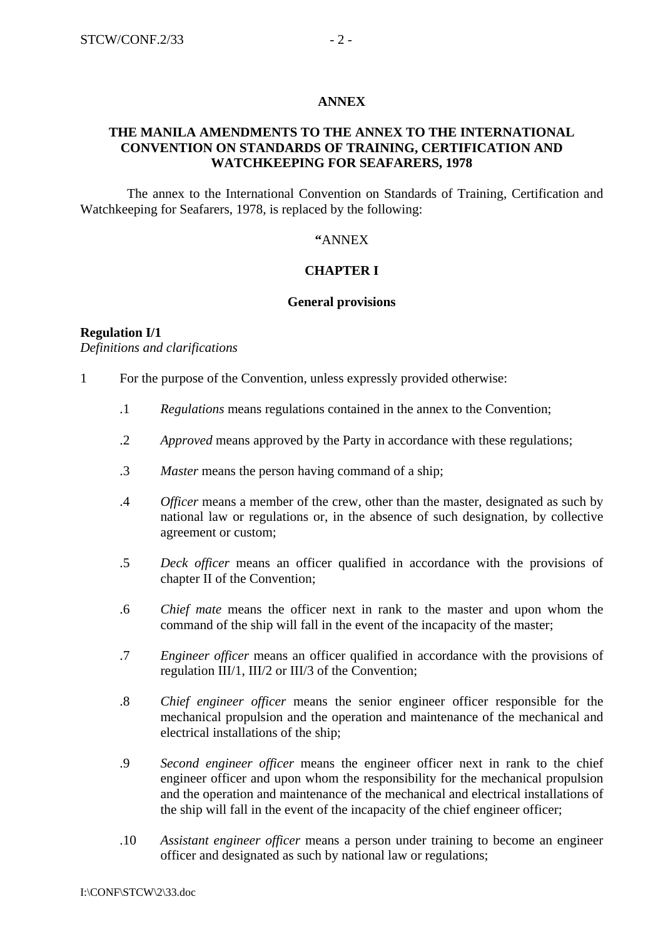#### **ANNEX**

### **THE MANILA AMENDMENTS TO THE ANNEX TO THE INTERNATIONAL CONVENTION ON STANDARDS OF TRAINING, CERTIFICATION AND WATCHKEEPING FOR SEAFARERS, 1978**

 The annex to the International Convention on Standards of Training, Certification and Watchkeeping for Seafarers, 1978, is replaced by the following:

### **"**ANNEX

### **CHAPTER I**

#### **General provisions**

#### **Regulation I/1**  *Definitions and clarifications*

1 For the purpose of the Convention, unless expressly provided otherwise:

- .1 *Regulations* means regulations contained in the annex to the Convention;
- .2 *Approved* means approved by the Party in accordance with these regulations;
- .3 *Master* means the person having command of a ship;
- .4 *Officer* means a member of the crew, other than the master, designated as such by national law or regulations or, in the absence of such designation, by collective agreement or custom;
- .5 *Deck officer* means an officer qualified in accordance with the provisions of chapter II of the Convention;
- .6 *Chief mate* means the officer next in rank to the master and upon whom the command of the ship will fall in the event of the incapacity of the master;
- .7 *Engineer officer* means an officer qualified in accordance with the provisions of regulation III/1, III/2 or III/3 of the Convention;
- .8 *Chief engineer officer* means the senior engineer officer responsible for the mechanical propulsion and the operation and maintenance of the mechanical and electrical installations of the ship;
- .9 *Second engineer officer* means the engineer officer next in rank to the chief engineer officer and upon whom the responsibility for the mechanical propulsion and the operation and maintenance of the mechanical and electrical installations of the ship will fall in the event of the incapacity of the chief engineer officer;
- .10 *Assistant engineer officer* means a person under training to become an engineer officer and designated as such by national law or regulations;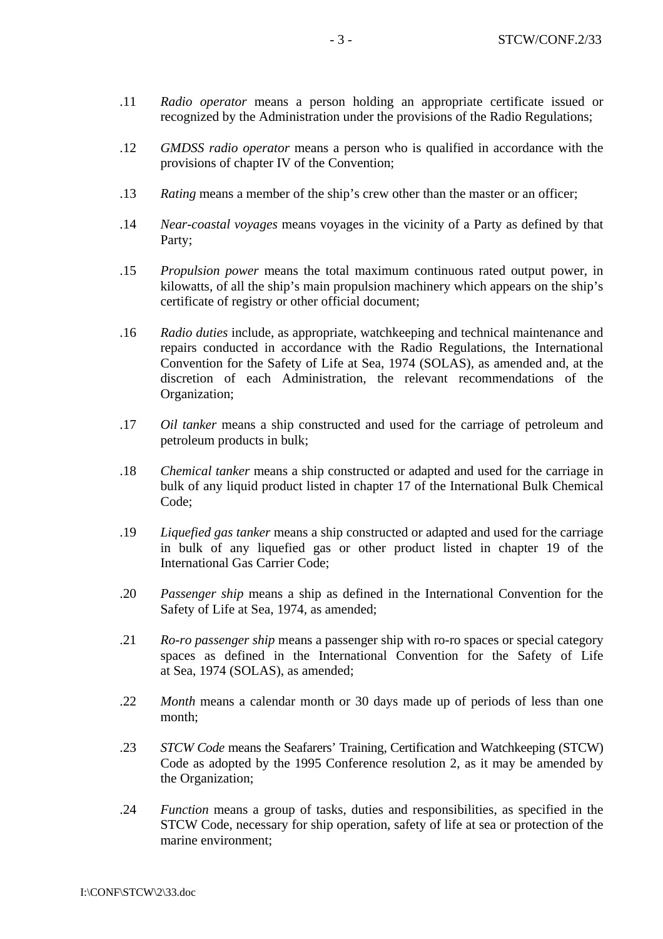- .11 *Radio operator* means a person holding an appropriate certificate issued or recognized by the Administration under the provisions of the Radio Regulations;
- .12 *GMDSS radio operator* means a person who is qualified in accordance with the provisions of chapter IV of the Convention;
- .13 *Rating* means a member of the ship's crew other than the master or an officer;
- .14 *Near-coastal voyages* means voyages in the vicinity of a Party as defined by that Party;
- .15 *Propulsion power* means the total maximum continuous rated output power, in kilowatts, of all the ship's main propulsion machinery which appears on the ship's certificate of registry or other official document;
- .16 *Radio duties* include, as appropriate, watchkeeping and technical maintenance and repairs conducted in accordance with the Radio Regulations, the International Convention for the Safety of Life at Sea, 1974 (SOLAS), as amended and, at the discretion of each Administration, the relevant recommendations of the Organization;
- .17 *Oil tanker* means a ship constructed and used for the carriage of petroleum and petroleum products in bulk;
- .18 *Chemical tanker* means a ship constructed or adapted and used for the carriage in bulk of any liquid product listed in chapter 17 of the International Bulk Chemical Code;
- .19 *Liquefied gas tanker* means a ship constructed or adapted and used for the carriage in bulk of any liquefied gas or other product listed in chapter 19 of the International Gas Carrier Code;
- .20 *Passenger ship* means a ship as defined in the International Convention for the Safety of Life at Sea, 1974, as amended;
- .21 *Ro-ro passenger ship* means a passenger ship with ro-ro spaces or special category spaces as defined in the International Convention for the Safety of Life at Sea, 1974 (SOLAS), as amended;
- .22 *Month* means a calendar month or 30 days made up of periods of less than one month;
- .23 *STCW Code* means the Seafarers' Training, Certification and Watchkeeping (STCW) Code as adopted by the 1995 Conference resolution 2, as it may be amended by the Organization;
- .24 *Function* means a group of tasks, duties and responsibilities, as specified in the STCW Code, necessary for ship operation, safety of life at sea or protection of the marine environment;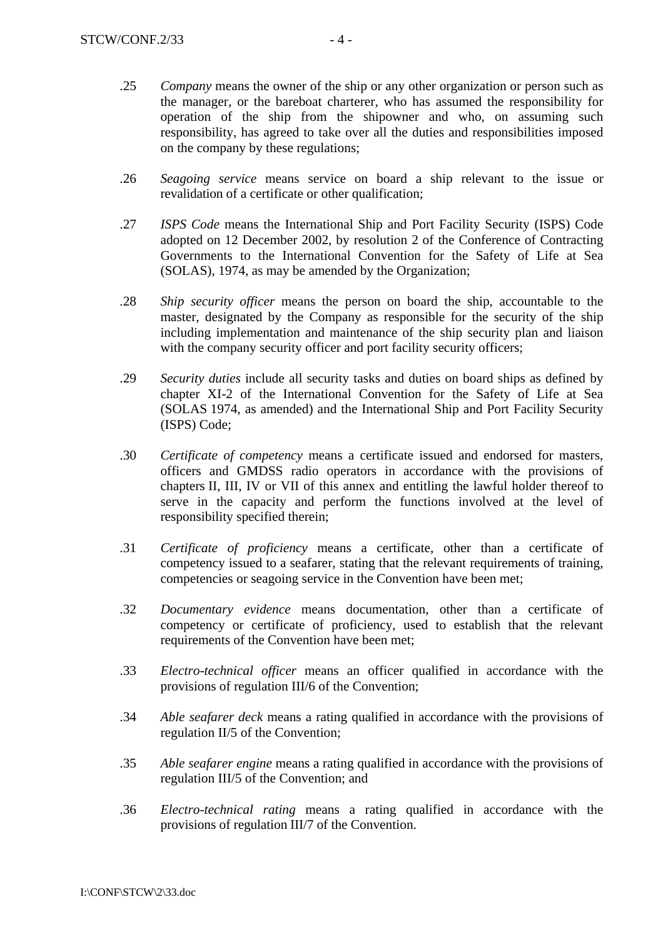- .25 *Company* means the owner of the ship or any other organization or person such as the manager, or the bareboat charterer, who has assumed the responsibility for operation of the ship from the shipowner and who, on assuming such responsibility, has agreed to take over all the duties and responsibilities imposed on the company by these regulations;
- .26 *Seagoing service* means service on board a ship relevant to the issue or revalidation of a certificate or other qualification;
- .27 *ISPS Code* means the International Ship and Port Facility Security (ISPS) Code adopted on 12 December 2002, by resolution 2 of the Conference of Contracting Governments to the International Convention for the Safety of Life at Sea (SOLAS), 1974, as may be amended by the Organization;
- .28 *Ship security officer* means the person on board the ship, accountable to the master, designated by the Company as responsible for the security of the ship including implementation and maintenance of the ship security plan and liaison with the company security officer and port facility security officers;
- .29 *Security duties* include all security tasks and duties on board ships as defined by chapter XI-2 of the International Convention for the Safety of Life at Sea (SOLAS 1974, as amended) and the International Ship and Port Facility Security (ISPS) Code;
- .30 *Certificate of competency* means a certificate issued and endorsed for masters, officers and GMDSS radio operators in accordance with the provisions of chapters II, III, IV or VII of this annex and entitling the lawful holder thereof to serve in the capacity and perform the functions involved at the level of responsibility specified therein;
- .31 *Certificate of proficiency* means a certificate, other than a certificate of competency issued to a seafarer, stating that the relevant requirements of training, competencies or seagoing service in the Convention have been met;
- .32 *Documentary evidence* means documentation, other than a certificate of competency or certificate of proficiency, used to establish that the relevant requirements of the Convention have been met;
- .33 *Electro-technical officer* means an officer qualified in accordance with the provisions of regulation III/6 of the Convention;
- .34 *Able seafarer deck* means a rating qualified in accordance with the provisions of regulation II/5 of the Convention;
- .35 *Able seafarer engine* means a rating qualified in accordance with the provisions of regulation III/5 of the Convention; and
- .36 *Electro-technical rating* means a rating qualified in accordance with the provisions of regulation III/7 of the Convention.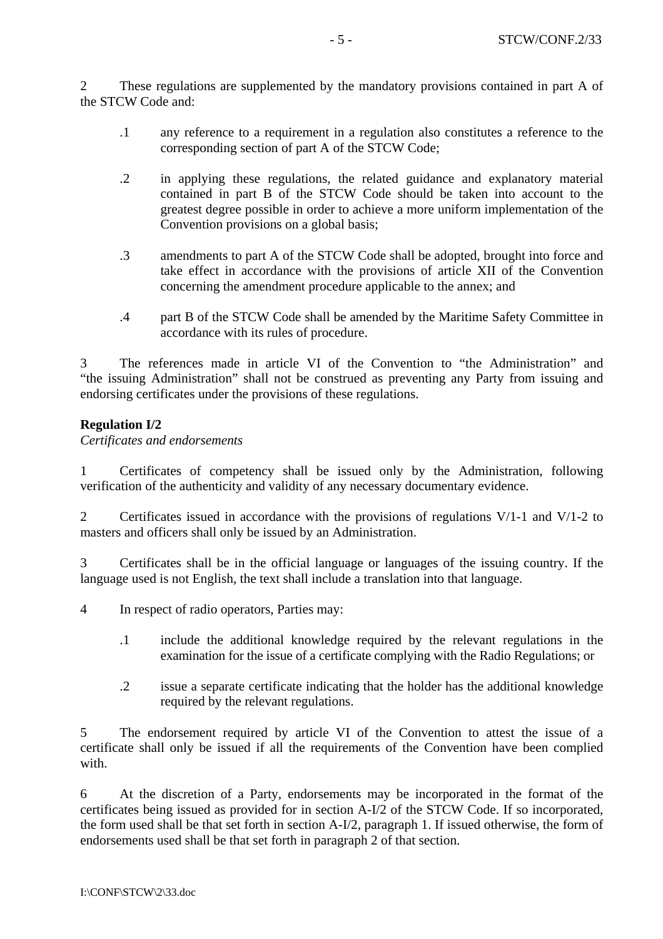2 These regulations are supplemented by the mandatory provisions contained in part A of the STCW Code and:

- .1 any reference to a requirement in a regulation also constitutes a reference to the corresponding section of part A of the STCW Code;
- .2 in applying these regulations, the related guidance and explanatory material contained in part B of the STCW Code should be taken into account to the greatest degree possible in order to achieve a more uniform implementation of the Convention provisions on a global basis;
- .3 amendments to part A of the STCW Code shall be adopted, brought into force and take effect in accordance with the provisions of article XII of the Convention concerning the amendment procedure applicable to the annex; and
- .4 part B of the STCW Code shall be amended by the Maritime Safety Committee in accordance with its rules of procedure.

3 The references made in article VI of the Convention to "the Administration" and "the issuing Administration" shall not be construed as preventing any Party from issuing and endorsing certificates under the provisions of these regulations.

### **Regulation I/2**

*Certificates and endorsements* 

1 Certificates of competency shall be issued only by the Administration, following verification of the authenticity and validity of any necessary documentary evidence.

2 Certificates issued in accordance with the provisions of regulations V/1-1 and V/1-2 to masters and officers shall only be issued by an Administration.

3 Certificates shall be in the official language or languages of the issuing country. If the language used is not English, the text shall include a translation into that language.

- 4 In respect of radio operators, Parties may:
	- .1 include the additional knowledge required by the relevant regulations in the examination for the issue of a certificate complying with the Radio Regulations; or
	- .2 issue a separate certificate indicating that the holder has the additional knowledge required by the relevant regulations.

5 The endorsement required by article VI of the Convention to attest the issue of a certificate shall only be issued if all the requirements of the Convention have been complied with.

6 At the discretion of a Party, endorsements may be incorporated in the format of the certificates being issued as provided for in section A-I/2 of the STCW Code. If so incorporated, the form used shall be that set forth in section A-I/2, paragraph 1. If issued otherwise, the form of endorsements used shall be that set forth in paragraph 2 of that section.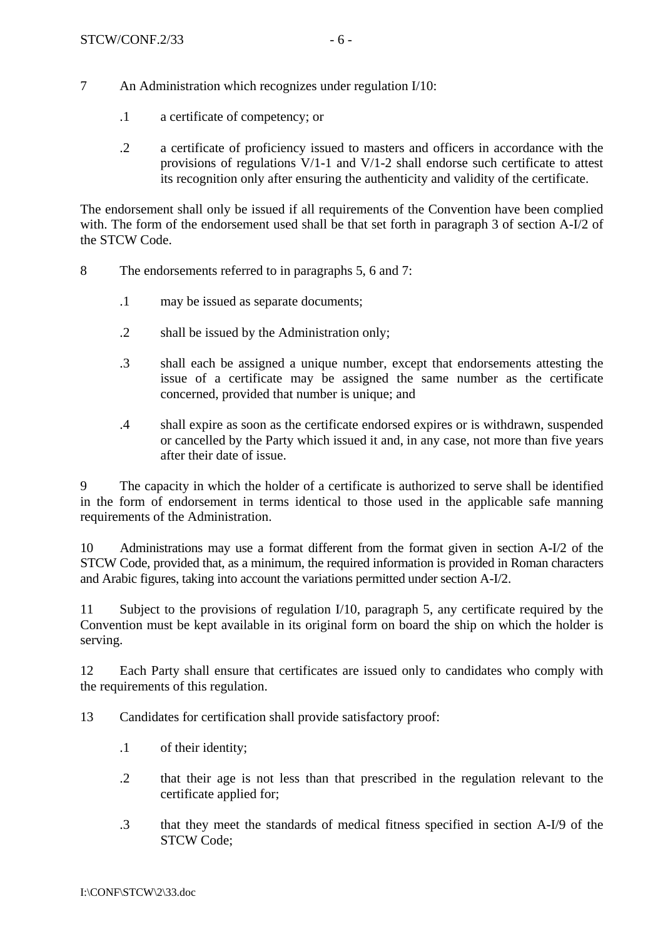- 7 An Administration which recognizes under regulation I/10:
	- .1 a certificate of competency; or
	- .2 a certificate of proficiency issued to masters and officers in accordance with the provisions of regulations V/1-1 and V/1-2 shall endorse such certificate to attest its recognition only after ensuring the authenticity and validity of the certificate.

The endorsement shall only be issued if all requirements of the Convention have been complied with. The form of the endorsement used shall be that set forth in paragraph 3 of section A-I/2 of the STCW Code.

- 8 The endorsements referred to in paragraphs 5, 6 and 7:
	- .1 may be issued as separate documents;
	- .2 shall be issued by the Administration only;
	- .3 shall each be assigned a unique number, except that endorsements attesting the issue of a certificate may be assigned the same number as the certificate concerned, provided that number is unique; and
	- .4 shall expire as soon as the certificate endorsed expires or is withdrawn, suspended or cancelled by the Party which issued it and, in any case, not more than five years after their date of issue.

9 The capacity in which the holder of a certificate is authorized to serve shall be identified in the form of endorsement in terms identical to those used in the applicable safe manning requirements of the Administration.

10 Administrations may use a format different from the format given in section A-I/2 of the STCW Code, provided that, as a minimum, the required information is provided in Roman characters and Arabic figures, taking into account the variations permitted under section A-I/2.

11 Subject to the provisions of regulation I/10, paragraph 5, any certificate required by the Convention must be kept available in its original form on board the ship on which the holder is serving.

12 Each Party shall ensure that certificates are issued only to candidates who comply with the requirements of this regulation.

13 Candidates for certification shall provide satisfactory proof:

- .1 of their identity;
- .2 that their age is not less than that prescribed in the regulation relevant to the certificate applied for;
- .3 that they meet the standards of medical fitness specified in section A-I/9 of the STCW Code;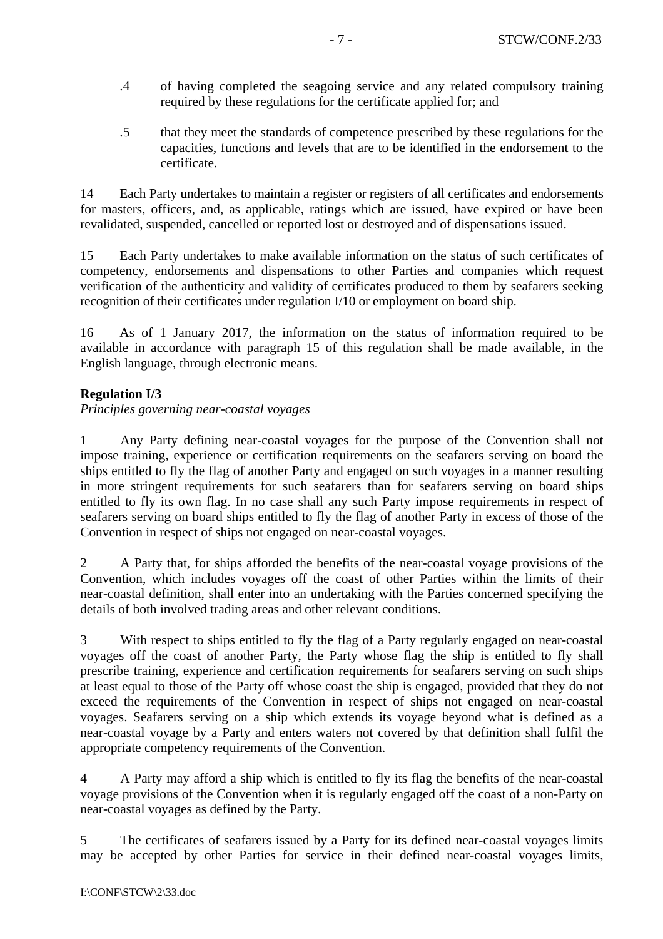- .4 of having completed the seagoing service and any related compulsory training required by these regulations for the certificate applied for; and
- .5 that they meet the standards of competence prescribed by these regulations for the capacities, functions and levels that are to be identified in the endorsement to the certificate.

14 Each Party undertakes to maintain a register or registers of all certificates and endorsements for masters, officers, and, as applicable, ratings which are issued, have expired or have been revalidated, suspended, cancelled or reported lost or destroyed and of dispensations issued.

15 Each Party undertakes to make available information on the status of such certificates of competency, endorsements and dispensations to other Parties and companies which request verification of the authenticity and validity of certificates produced to them by seafarers seeking recognition of their certificates under regulation I/10 or employment on board ship.

16 As of 1 January 2017, the information on the status of information required to be available in accordance with paragraph 15 of this regulation shall be made available, in the English language, through electronic means.

### **Regulation I/3**

*Principles governing near-coastal voyages*

1 Any Party defining near-coastal voyages for the purpose of the Convention shall not impose training, experience or certification requirements on the seafarers serving on board the ships entitled to fly the flag of another Party and engaged on such voyages in a manner resulting in more stringent requirements for such seafarers than for seafarers serving on board ships entitled to fly its own flag. In no case shall any such Party impose requirements in respect of seafarers serving on board ships entitled to fly the flag of another Party in excess of those of the Convention in respect of ships not engaged on near-coastal voyages.

2 A Party that, for ships afforded the benefits of the near-coastal voyage provisions of the Convention, which includes voyages off the coast of other Parties within the limits of their near-coastal definition, shall enter into an undertaking with the Parties concerned specifying the details of both involved trading areas and other relevant conditions.

3 With respect to ships entitled to fly the flag of a Party regularly engaged on near-coastal voyages off the coast of another Party, the Party whose flag the ship is entitled to fly shall prescribe training, experience and certification requirements for seafarers serving on such ships at least equal to those of the Party off whose coast the ship is engaged, provided that they do not exceed the requirements of the Convention in respect of ships not engaged on near-coastal voyages. Seafarers serving on a ship which extends its voyage beyond what is defined as a near-coastal voyage by a Party and enters waters not covered by that definition shall fulfil the appropriate competency requirements of the Convention.

4 A Party may afford a ship which is entitled to fly its flag the benefits of the near-coastal voyage provisions of the Convention when it is regularly engaged off the coast of a non-Party on near-coastal voyages as defined by the Party.

5 The certificates of seafarers issued by a Party for its defined near-coastal voyages limits may be accepted by other Parties for service in their defined near-coastal voyages limits,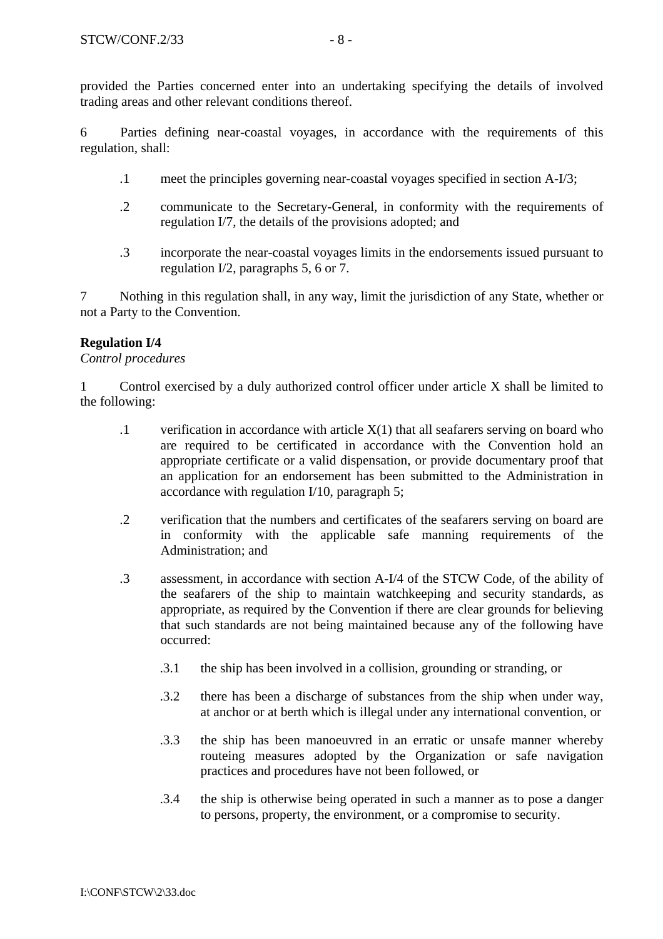provided the Parties concerned enter into an undertaking specifying the details of involved trading areas and other relevant conditions thereof.

6 Parties defining near-coastal voyages, in accordance with the requirements of this regulation, shall:

- .1 meet the principles governing near-coastal voyages specified in section A-I/3;
- .2 communicate to the Secretary-General, in conformity with the requirements of regulation I/7, the details of the provisions adopted; and
- .3 incorporate the near-coastal voyages limits in the endorsements issued pursuant to regulation I/2, paragraphs 5, 6 or 7.

7 Nothing in this regulation shall, in any way, limit the jurisdiction of any State, whether or not a Party to the Convention.

# **Regulation I/4**

### *Control procedures*

1 Control exercised by a duly authorized control officer under article X shall be limited to the following:

- .1 verification in accordance with article X(1) that all seafarers serving on board who are required to be certificated in accordance with the Convention hold an appropriate certificate or a valid dispensation, or provide documentary proof that an application for an endorsement has been submitted to the Administration in accordance with regulation I/10, paragraph 5;
- .2 verification that the numbers and certificates of the seafarers serving on board are in conformity with the applicable safe manning requirements of the Administration; and
- .3 assessment, in accordance with section A-I/4 of the STCW Code, of the ability of the seafarers of the ship to maintain watchkeeping and security standards, as appropriate, as required by the Convention if there are clear grounds for believing that such standards are not being maintained because any of the following have occurred:
	- .3.1 the ship has been involved in a collision, grounding or stranding, or
	- .3.2 there has been a discharge of substances from the ship when under way, at anchor or at berth which is illegal under any international convention, or
	- .3.3 the ship has been manoeuvred in an erratic or unsafe manner whereby routeing measures adopted by the Organization or safe navigation practices and procedures have not been followed, or
	- .3.4 the ship is otherwise being operated in such a manner as to pose a danger to persons, property, the environment, or a compromise to security.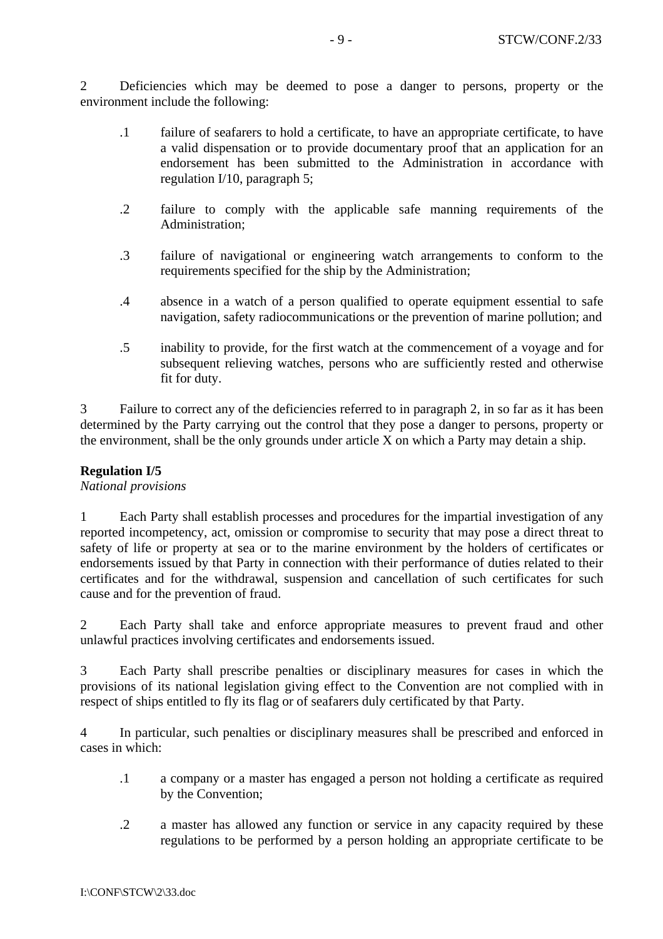2 Deficiencies which may be deemed to pose a danger to persons, property or the environment include the following:

- .1 failure of seafarers to hold a certificate, to have an appropriate certificate, to have a valid dispensation or to provide documentary proof that an application for an endorsement has been submitted to the Administration in accordance with regulation I/10, paragraph 5;
- .2 failure to comply with the applicable safe manning requirements of the Administration;
- .3 failure of navigational or engineering watch arrangements to conform to the requirements specified for the ship by the Administration;
- .4 absence in a watch of a person qualified to operate equipment essential to safe navigation, safety radiocommunications or the prevention of marine pollution; and
- .5 inability to provide, for the first watch at the commencement of a voyage and for subsequent relieving watches, persons who are sufficiently rested and otherwise fit for duty.

3 Failure to correct any of the deficiencies referred to in paragraph 2, in so far as it has been determined by the Party carrying out the control that they pose a danger to persons, property or the environment, shall be the only grounds under article X on which a Party may detain a ship.

### **Regulation I/5**

#### *National provisions*

1 Each Party shall establish processes and procedures for the impartial investigation of any reported incompetency, act, omission or compromise to security that may pose a direct threat to safety of life or property at sea or to the marine environment by the holders of certificates or endorsements issued by that Party in connection with their performance of duties related to their certificates and for the withdrawal, suspension and cancellation of such certificates for such cause and for the prevention of fraud.

2 Each Party shall take and enforce appropriate measures to prevent fraud and other unlawful practices involving certificates and endorsements issued.

3 Each Party shall prescribe penalties or disciplinary measures for cases in which the provisions of its national legislation giving effect to the Convention are not complied with in respect of ships entitled to fly its flag or of seafarers duly certificated by that Party.

4 In particular, such penalties or disciplinary measures shall be prescribed and enforced in cases in which:

- .1 a company or a master has engaged a person not holding a certificate as required by the Convention;
- .2 a master has allowed any function or service in any capacity required by these regulations to be performed by a person holding an appropriate certificate to be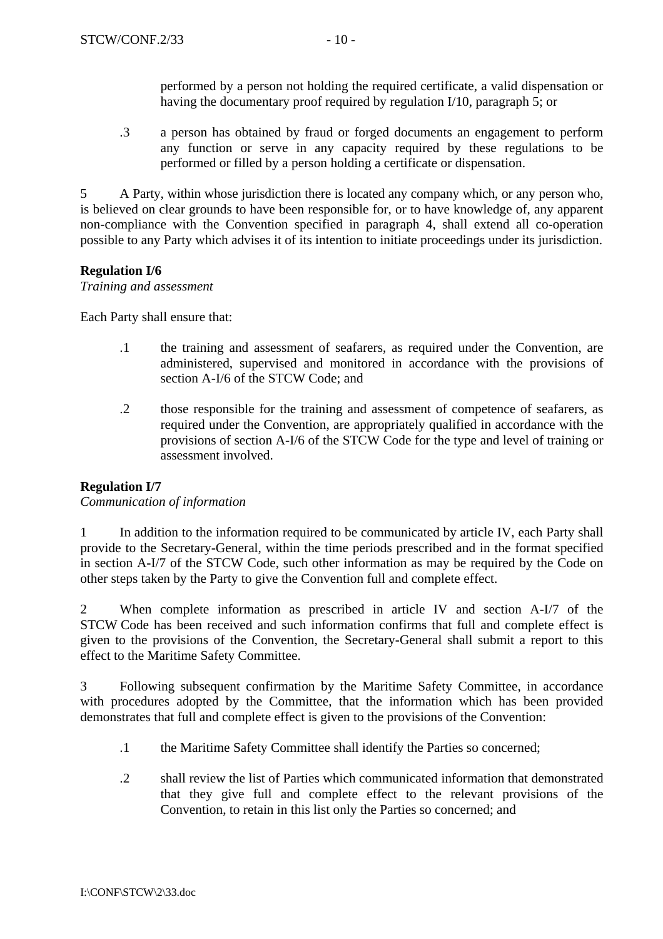performed by a person not holding the required certificate, a valid dispensation or having the documentary proof required by regulation I/10, paragraph 5; or

.3 a person has obtained by fraud or forged documents an engagement to perform any function or serve in any capacity required by these regulations to be performed or filled by a person holding a certificate or dispensation.

5 A Party, within whose jurisdiction there is located any company which, or any person who, is believed on clear grounds to have been responsible for, or to have knowledge of, any apparent non-compliance with the Convention specified in paragraph 4, shall extend all co-operation possible to any Party which advises it of its intention to initiate proceedings under its jurisdiction.

# **Regulation I/6**

### *Training and assessment*

Each Party shall ensure that:

- .1 the training and assessment of seafarers, as required under the Convention, are administered, supervised and monitored in accordance with the provisions of section A-I/6 of the STCW Code; and
- .2 those responsible for the training and assessment of competence of seafarers, as required under the Convention, are appropriately qualified in accordance with the provisions of section A-I/6 of the STCW Code for the type and level of training or assessment involved.

# **Regulation I/7**

### *Communication of information*

1 In addition to the information required to be communicated by article IV, each Party shall provide to the Secretary-General, within the time periods prescribed and in the format specified in section A-I/7 of the STCW Code, such other information as may be required by the Code on other steps taken by the Party to give the Convention full and complete effect.

2 When complete information as prescribed in article IV and section A-I/7 of the STCW Code has been received and such information confirms that full and complete effect is given to the provisions of the Convention, the Secretary-General shall submit a report to this effect to the Maritime Safety Committee.

3 Following subsequent confirmation by the Maritime Safety Committee, in accordance with procedures adopted by the Committee, that the information which has been provided demonstrates that full and complete effect is given to the provisions of the Convention:

- .1 the Maritime Safety Committee shall identify the Parties so concerned;
- .2 shall review the list of Parties which communicated information that demonstrated that they give full and complete effect to the relevant provisions of the Convention, to retain in this list only the Parties so concerned; and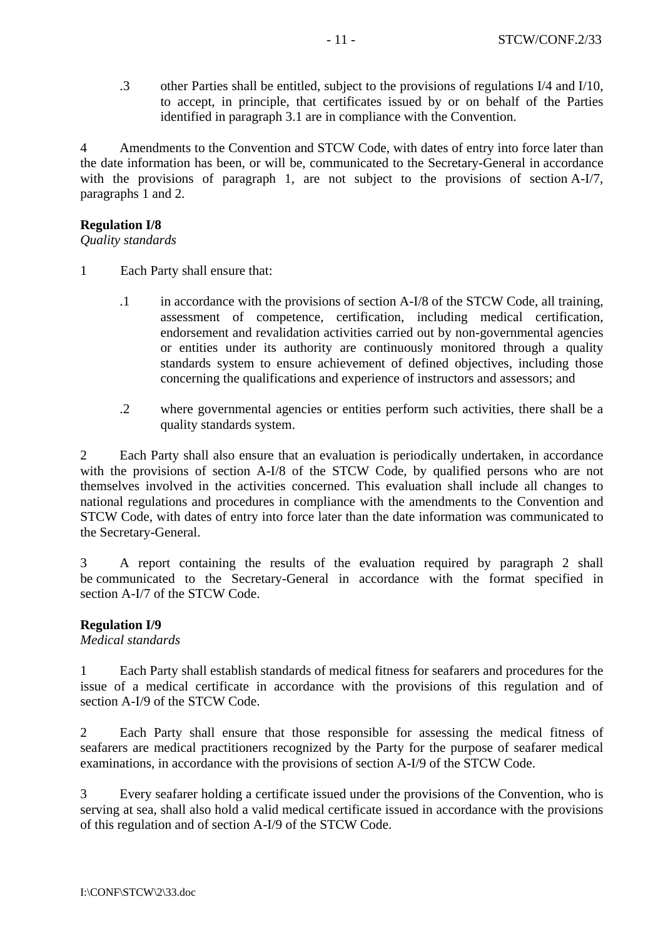.3 other Parties shall be entitled, subject to the provisions of regulations I/4 and I/10, to accept, in principle, that certificates issued by or on behalf of the Parties identified in paragraph 3.1 are in compliance with the Convention.

4 Amendments to the Convention and STCW Code, with dates of entry into force later than the date information has been, or will be, communicated to the Secretary-General in accordance with the provisions of paragraph 1, are not subject to the provisions of section A-I/7, paragraphs 1 and 2.

#### **Regulation I/8**

*Quality standards* 

- 1 Each Party shall ensure that:
	- .1 in accordance with the provisions of section A-I/8 of the STCW Code, all training, assessment of competence, certification, including medical certification, endorsement and revalidation activities carried out by non-governmental agencies or entities under its authority are continuously monitored through a quality standards system to ensure achievement of defined objectives, including those concerning the qualifications and experience of instructors and assessors; and
	- .2 where governmental agencies or entities perform such activities, there shall be a quality standards system.

2 Each Party shall also ensure that an evaluation is periodically undertaken, in accordance with the provisions of section A-I/8 of the STCW Code, by qualified persons who are not themselves involved in the activities concerned. This evaluation shall include all changes to national regulations and procedures in compliance with the amendments to the Convention and STCW Code, with dates of entry into force later than the date information was communicated to the Secretary-General.

3 A report containing the results of the evaluation required by paragraph 2 shall be communicated to the Secretary-General in accordance with the format specified in section A-I/7 of the STCW Code.

### **Regulation I/9**

#### *Medical standards*

1 Each Party shall establish standards of medical fitness for seafarers and procedures for the issue of a medical certificate in accordance with the provisions of this regulation and of section A-I/9 of the STCW Code.

2 Each Party shall ensure that those responsible for assessing the medical fitness of seafarers are medical practitioners recognized by the Party for the purpose of seafarer medical examinations, in accordance with the provisions of section A-I/9 of the STCW Code.

3 Every seafarer holding a certificate issued under the provisions of the Convention, who is serving at sea, shall also hold a valid medical certificate issued in accordance with the provisions of this regulation and of section A-I/9 of the STCW Code.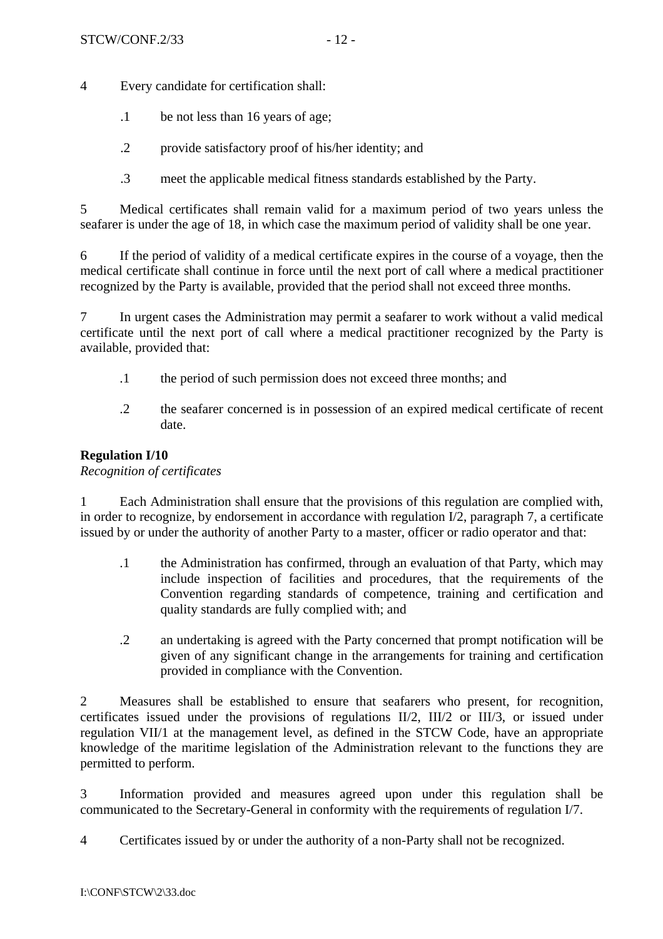4 Every candidate for certification shall:

- .1 be not less than 16 years of age;
- .2 provide satisfactory proof of his/her identity; and
- .3 meet the applicable medical fitness standards established by the Party.

5 Medical certificates shall remain valid for a maximum period of two years unless the seafarer is under the age of 18, in which case the maximum period of validity shall be one year.

6 If the period of validity of a medical certificate expires in the course of a voyage, then the medical certificate shall continue in force until the next port of call where a medical practitioner recognized by the Party is available, provided that the period shall not exceed three months.

7 In urgent cases the Administration may permit a seafarer to work without a valid medical certificate until the next port of call where a medical practitioner recognized by the Party is available, provided that:

- .1 the period of such permission does not exceed three months; and
- .2 the seafarer concerned is in possession of an expired medical certificate of recent date.

### **Regulation I/10**

*Recognition of certificates* 

1 Each Administration shall ensure that the provisions of this regulation are complied with, in order to recognize, by endorsement in accordance with regulation I/2, paragraph 7, a certificate issued by or under the authority of another Party to a master, officer or radio operator and that:

- .1 the Administration has confirmed, through an evaluation of that Party, which may include inspection of facilities and procedures, that the requirements of the Convention regarding standards of competence, training and certification and quality standards are fully complied with; and
- .2 an undertaking is agreed with the Party concerned that prompt notification will be given of any significant change in the arrangements for training and certification provided in compliance with the Convention.

2 Measures shall be established to ensure that seafarers who present, for recognition, certificates issued under the provisions of regulations II/2, III/2 or III/3, or issued under regulation VII/1 at the management level, as defined in the STCW Code, have an appropriate knowledge of the maritime legislation of the Administration relevant to the functions they are permitted to perform.

3 Information provided and measures agreed upon under this regulation shall be communicated to the Secretary-General in conformity with the requirements of regulation I/7.

4 Certificates issued by or under the authority of a non-Party shall not be recognized.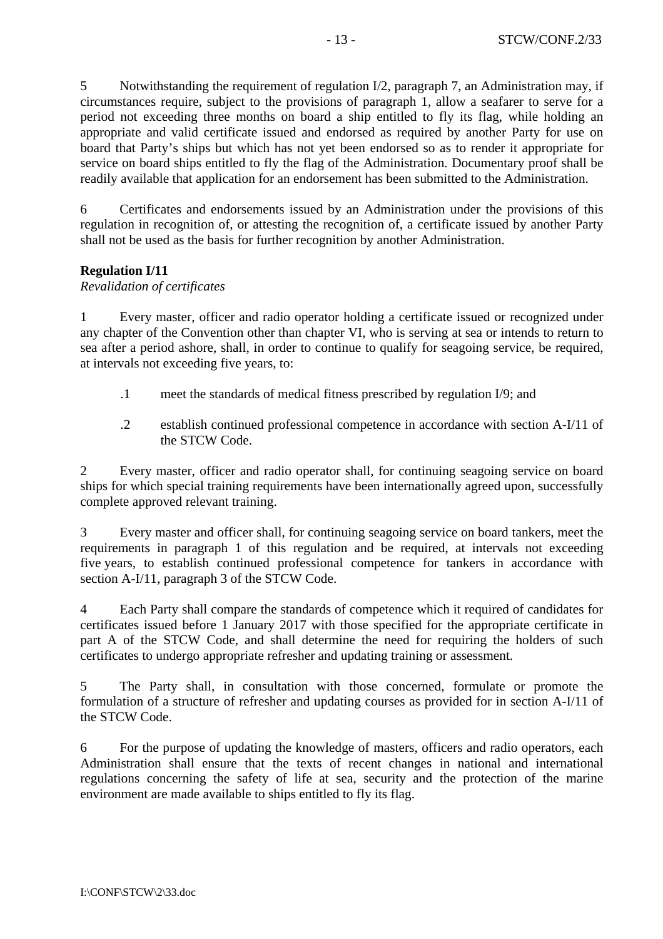5 Notwithstanding the requirement of regulation I/2, paragraph 7, an Administration may, if circumstances require, subject to the provisions of paragraph 1, allow a seafarer to serve for a period not exceeding three months on board a ship entitled to fly its flag, while holding an appropriate and valid certificate issued and endorsed as required by another Party for use on board that Party's ships but which has not yet been endorsed so as to render it appropriate for service on board ships entitled to fly the flag of the Administration. Documentary proof shall be readily available that application for an endorsement has been submitted to the Administration.

6 Certificates and endorsements issued by an Administration under the provisions of this regulation in recognition of, or attesting the recognition of, a certificate issued by another Party shall not be used as the basis for further recognition by another Administration.

### **Regulation I/11**

### *Revalidation of certificates*

1 Every master, officer and radio operator holding a certificate issued or recognized under any chapter of the Convention other than chapter VI, who is serving at sea or intends to return to sea after a period ashore, shall, in order to continue to qualify for seagoing service, be required, at intervals not exceeding five years, to:

- .1 meet the standards of medical fitness prescribed by regulation I/9; and
- .2 establish continued professional competence in accordance with section A-I/11 of the STCW Code.

2 Every master, officer and radio operator shall, for continuing seagoing service on board ships for which special training requirements have been internationally agreed upon, successfully complete approved relevant training.

3 Every master and officer shall, for continuing seagoing service on board tankers, meet the requirements in paragraph 1 of this regulation and be required, at intervals not exceeding five years, to establish continued professional competence for tankers in accordance with section A-I/11, paragraph 3 of the STCW Code.

4 Each Party shall compare the standards of competence which it required of candidates for certificates issued before 1 January 2017 with those specified for the appropriate certificate in part A of the STCW Code, and shall determine the need for requiring the holders of such certificates to undergo appropriate refresher and updating training or assessment.

5 The Party shall, in consultation with those concerned, formulate or promote the formulation of a structure of refresher and updating courses as provided for in section A-I/11 of the STCW Code.

6 For the purpose of updating the knowledge of masters, officers and radio operators, each Administration shall ensure that the texts of recent changes in national and international regulations concerning the safety of life at sea, security and the protection of the marine environment are made available to ships entitled to fly its flag.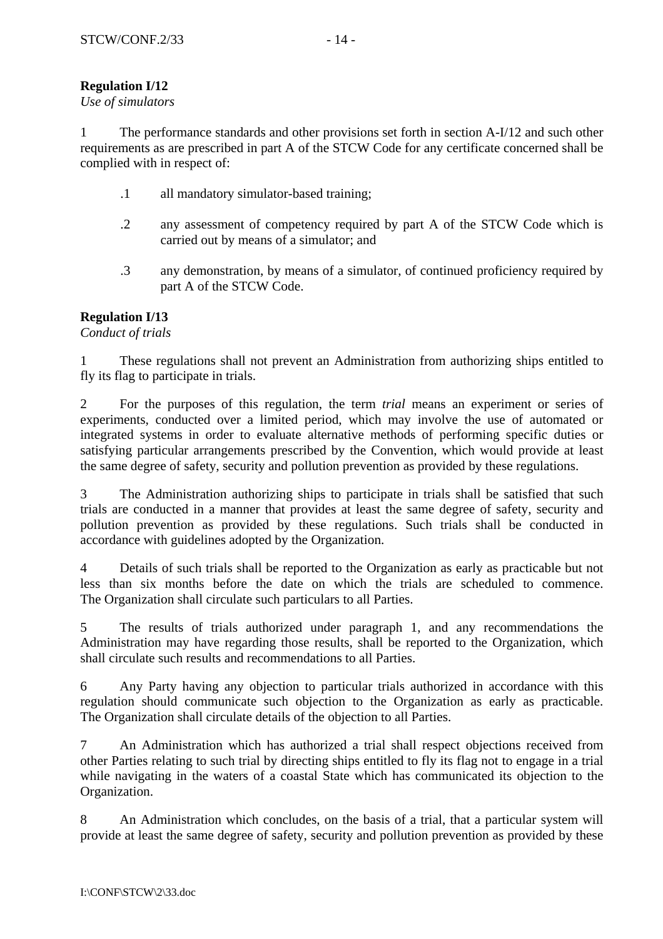# **Regulation I/12**

### *Use of simulators*

1 The performance standards and other provisions set forth in section A-I/12 and such other requirements as are prescribed in part A of the STCW Code for any certificate concerned shall be complied with in respect of:

- .1 all mandatory simulator-based training;
- .2 any assessment of competency required by part A of the STCW Code which is carried out by means of a simulator; and
- .3 any demonstration, by means of a simulator, of continued proficiency required by part A of the STCW Code.

### **Regulation I/13**

*Conduct of trials*

1 These regulations shall not prevent an Administration from authorizing ships entitled to fly its flag to participate in trials.

2 For the purposes of this regulation, the term *trial* means an experiment or series of experiments, conducted over a limited period, which may involve the use of automated or integrated systems in order to evaluate alternative methods of performing specific duties or satisfying particular arrangements prescribed by the Convention, which would provide at least the same degree of safety, security and pollution prevention as provided by these regulations.

3 The Administration authorizing ships to participate in trials shall be satisfied that such trials are conducted in a manner that provides at least the same degree of safety, security and pollution prevention as provided by these regulations. Such trials shall be conducted in accordance with guidelines adopted by the Organization.

4 Details of such trials shall be reported to the Organization as early as practicable but not less than six months before the date on which the trials are scheduled to commence. The Organization shall circulate such particulars to all Parties.

5 The results of trials authorized under paragraph 1, and any recommendations the Administration may have regarding those results, shall be reported to the Organization, which shall circulate such results and recommendations to all Parties.

6 Any Party having any objection to particular trials authorized in accordance with this regulation should communicate such objection to the Organization as early as practicable. The Organization shall circulate details of the objection to all Parties.

7 An Administration which has authorized a trial shall respect objections received from other Parties relating to such trial by directing ships entitled to fly its flag not to engage in a trial while navigating in the waters of a coastal State which has communicated its objection to the Organization.

8 An Administration which concludes, on the basis of a trial, that a particular system will provide at least the same degree of safety, security and pollution prevention as provided by these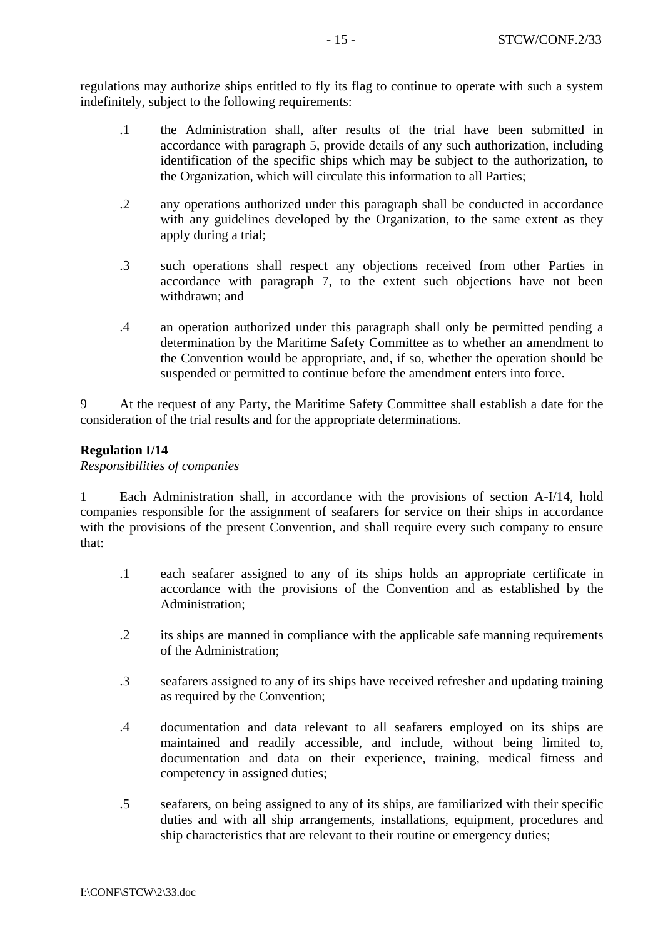regulations may authorize ships entitled to fly its flag to continue to operate with such a system indefinitely, subject to the following requirements:

- .1 the Administration shall, after results of the trial have been submitted in accordance with paragraph 5, provide details of any such authorization, including identification of the specific ships which may be subject to the authorization, to the Organization, which will circulate this information to all Parties;
- .2 any operations authorized under this paragraph shall be conducted in accordance with any guidelines developed by the Organization, to the same extent as they apply during a trial;
- .3 such operations shall respect any objections received from other Parties in accordance with paragraph 7, to the extent such objections have not been withdrawn; and
- .4 an operation authorized under this paragraph shall only be permitted pending a determination by the Maritime Safety Committee as to whether an amendment to the Convention would be appropriate, and, if so, whether the operation should be suspended or permitted to continue before the amendment enters into force.

9 At the request of any Party, the Maritime Safety Committee shall establish a date for the consideration of the trial results and for the appropriate determinations.

### **Regulation I/14**

*Responsibilities of companies* 

1 Each Administration shall, in accordance with the provisions of section A-I/14, hold companies responsible for the assignment of seafarers for service on their ships in accordance with the provisions of the present Convention, and shall require every such company to ensure that:

- .1 each seafarer assigned to any of its ships holds an appropriate certificate in accordance with the provisions of the Convention and as established by the Administration;
- .2 its ships are manned in compliance with the applicable safe manning requirements of the Administration;
- .3 seafarers assigned to any of its ships have received refresher and updating training as required by the Convention;
- .4 documentation and data relevant to all seafarers employed on its ships are maintained and readily accessible, and include, without being limited to, documentation and data on their experience, training, medical fitness and competency in assigned duties;
- .5 seafarers, on being assigned to any of its ships, are familiarized with their specific duties and with all ship arrangements, installations, equipment, procedures and ship characteristics that are relevant to their routine or emergency duties;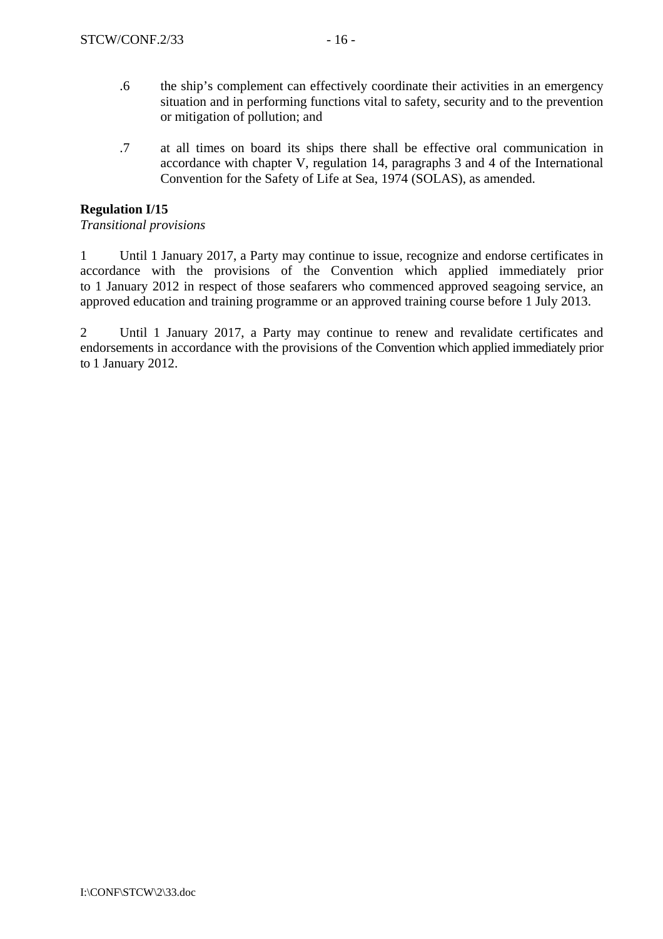- .6 the ship's complement can effectively coordinate their activities in an emergency situation and in performing functions vital to safety, security and to the prevention or mitigation of pollution; and
- .7 at all times on board its ships there shall be effective oral communication in accordance with chapter V, regulation 14, paragraphs 3 and 4 of the International Convention for the Safety of Life at Sea, 1974 (SOLAS), as amended.

# **Regulation I/15**

### *Transitional provisions*

1 Until 1 January 2017, a Party may continue to issue, recognize and endorse certificates in accordance with the provisions of the Convention which applied immediately prior to 1 January 2012 in respect of those seafarers who commenced approved seagoing service, an approved education and training programme or an approved training course before 1 July 2013.

2 Until 1 January 2017, a Party may continue to renew and revalidate certificates and endorsements in accordance with the provisions of the Convention which applied immediately prior to 1 January 2012.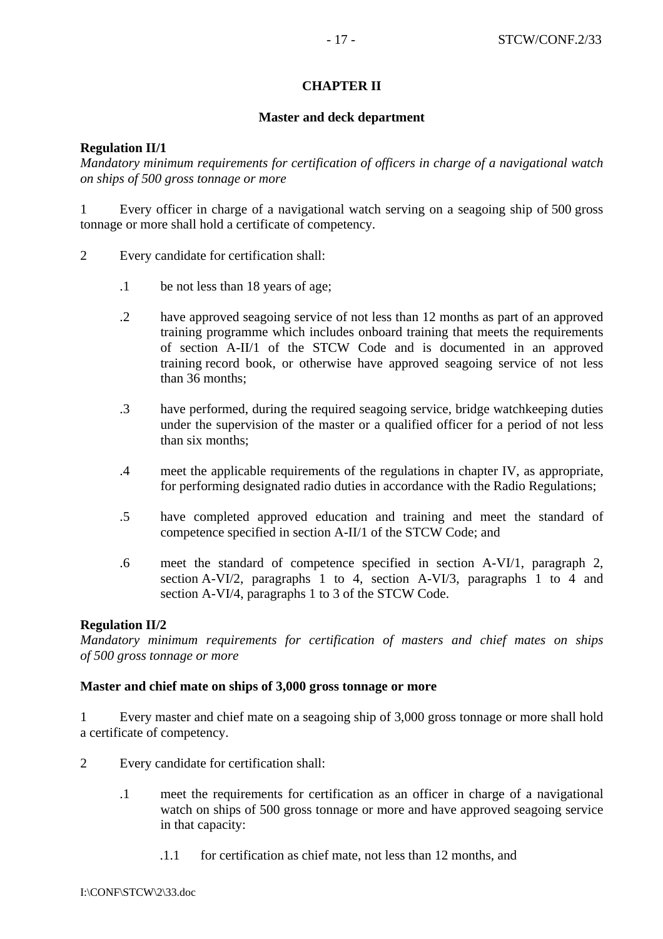## **CHAPTER II**

### **Master and deck department**

### **Regulation II/1**

*Mandatory minimum requirements for certification of officers in charge of a navigational watch on ships of 500 gross tonnage or more*

1 Every officer in charge of a navigational watch serving on a seagoing ship of 500 gross tonnage or more shall hold a certificate of competency.

- 2 Every candidate for certification shall:
	- .1 be not less than 18 years of age;
	- .2 have approved seagoing service of not less than 12 months as part of an approved training programme which includes onboard training that meets the requirements of section A-II/1 of the STCW Code and is documented in an approved training record book, or otherwise have approved seagoing service of not less than 36 months;
	- .3 have performed, during the required seagoing service, bridge watchkeeping duties under the supervision of the master or a qualified officer for a period of not less than six months;
	- .4 meet the applicable requirements of the regulations in chapter IV, as appropriate, for performing designated radio duties in accordance with the Radio Regulations;
	- .5 have completed approved education and training and meet the standard of competence specified in section A-II/1 of the STCW Code; and
	- .6 meet the standard of competence specified in section A-VI/1, paragraph 2, section A-VI/2, paragraphs 1 to 4, section A-VI/3, paragraphs 1 to 4 and section A-VI/4, paragraphs 1 to 3 of the STCW Code.

### **Regulation II/2**

*Mandatory minimum requirements for certification of masters and chief mates on ships of 500 gross tonnage or more* 

### **Master and chief mate on ships of 3,000 gross tonnage or more**

1 Every master and chief mate on a seagoing ship of 3,000 gross tonnage or more shall hold a certificate of competency.

- 2 Every candidate for certification shall:
	- .1 meet the requirements for certification as an officer in charge of a navigational watch on ships of 500 gross tonnage or more and have approved seagoing service in that capacity:
		- .1.1 for certification as chief mate, not less than 12 months, and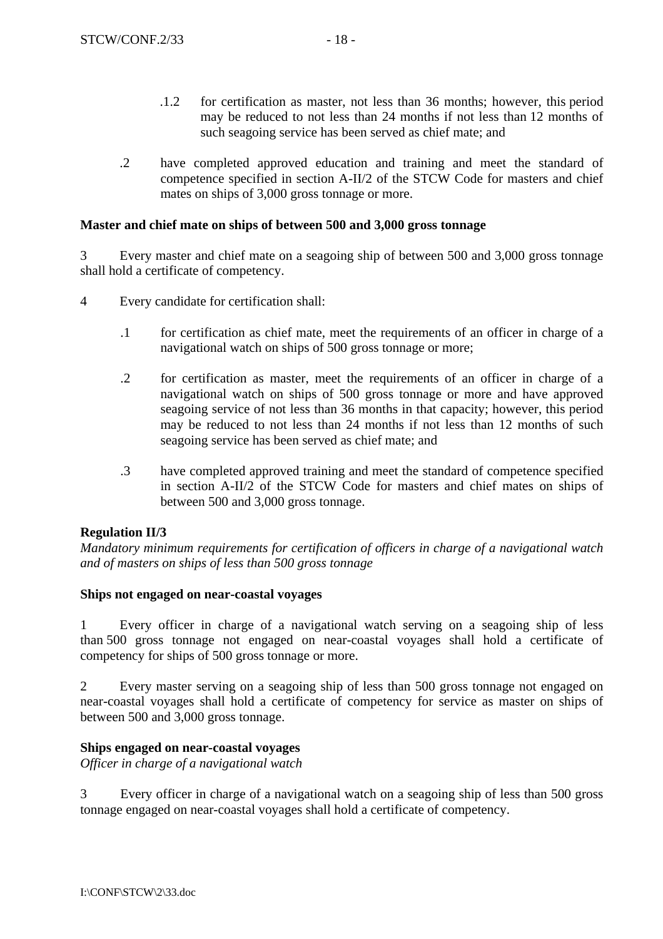- .1.2 for certification as master, not less than 36 months; however, this period may be reduced to not less than 24 months if not less than 12 months of such seagoing service has been served as chief mate; and
- .2 have completed approved education and training and meet the standard of competence specified in section A-II/2 of the STCW Code for masters and chief mates on ships of 3,000 gross tonnage or more.

### **Master and chief mate on ships of between 500 and 3,000 gross tonnage**

3 Every master and chief mate on a seagoing ship of between 500 and 3,000 gross tonnage shall hold a certificate of competency.

- 4 Every candidate for certification shall:
	- .1 for certification as chief mate, meet the requirements of an officer in charge of a navigational watch on ships of 500 gross tonnage or more;
	- .2 for certification as master, meet the requirements of an officer in charge of a navigational watch on ships of 500 gross tonnage or more and have approved seagoing service of not less than 36 months in that capacity; however, this period may be reduced to not less than 24 months if not less than 12 months of such seagoing service has been served as chief mate; and
	- .3 have completed approved training and meet the standard of competence specified in section A-II/2 of the STCW Code for masters and chief mates on ships of between 500 and 3,000 gross tonnage.

### **Regulation II/3**

*Mandatory minimum requirements for certification of officers in charge of a navigational watch and of masters on ships of less than 500 gross tonnage*

### **Ships not engaged on near-coastal voyages**

1 Every officer in charge of a navigational watch serving on a seagoing ship of less than 500 gross tonnage not engaged on near-coastal voyages shall hold a certificate of competency for ships of 500 gross tonnage or more.

2 Every master serving on a seagoing ship of less than 500 gross tonnage not engaged on near-coastal voyages shall hold a certificate of competency for service as master on ships of between 500 and 3,000 gross tonnage.

### **Ships engaged on near-coastal voyages**

*Officer in charge of a navigational watch*

3 Every officer in charge of a navigational watch on a seagoing ship of less than 500 gross tonnage engaged on near-coastal voyages shall hold a certificate of competency.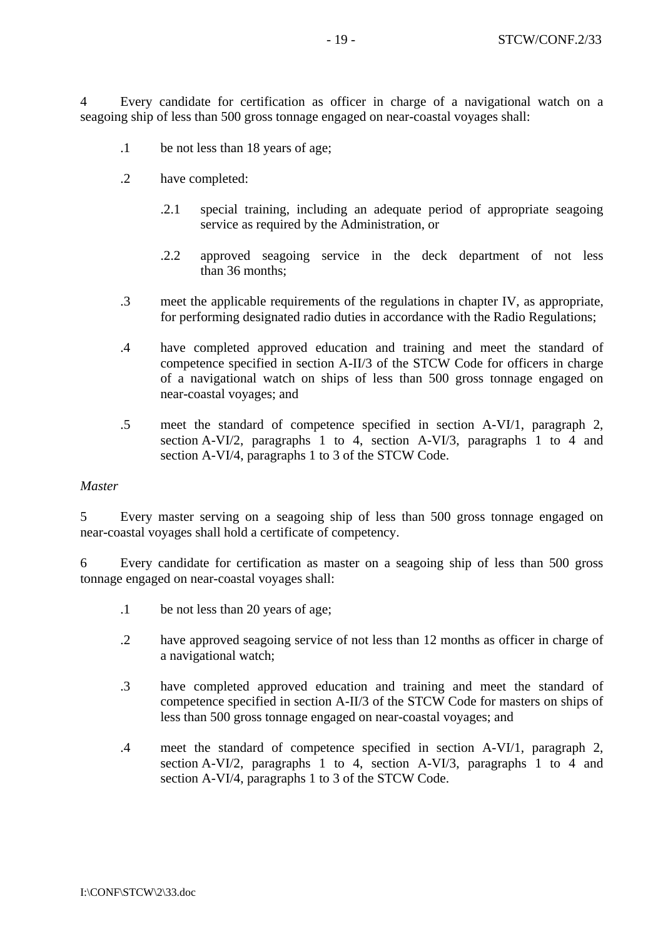4 Every candidate for certification as officer in charge of a navigational watch on a seagoing ship of less than 500 gross tonnage engaged on near-coastal voyages shall:

- .1 be not less than 18 years of age;
- .2 have completed:
	- .2.1 special training, including an adequate period of appropriate seagoing service as required by the Administration, or
	- .2.2 approved seagoing service in the deck department of not less than 36 months;
- .3 meet the applicable requirements of the regulations in chapter IV, as appropriate, for performing designated radio duties in accordance with the Radio Regulations;
- .4 have completed approved education and training and meet the standard of competence specified in section A-II/3 of the STCW Code for officers in charge of a navigational watch on ships of less than 500 gross tonnage engaged on near-coastal voyages; and
- .5 meet the standard of competence specified in section A-VI/1, paragraph 2, section A-VI/2, paragraphs 1 to 4, section A-VI/3, paragraphs 1 to 4 and section A-VI/4, paragraphs 1 to 3 of the STCW Code.

#### *Master*

5 Every master serving on a seagoing ship of less than 500 gross tonnage engaged on near-coastal voyages shall hold a certificate of competency.

6 Every candidate for certification as master on a seagoing ship of less than 500 gross tonnage engaged on near-coastal voyages shall:

- .1 be not less than 20 years of age;
- .2 have approved seagoing service of not less than 12 months as officer in charge of a navigational watch;
- .3 have completed approved education and training and meet the standard of competence specified in section A-II/3 of the STCW Code for masters on ships of less than 500 gross tonnage engaged on near-coastal voyages; and
- .4 meet the standard of competence specified in section A-VI/1, paragraph 2, section A-VI/2, paragraphs 1 to 4, section A-VI/3, paragraphs 1 to 4 and section A-VI/4, paragraphs 1 to 3 of the STCW Code.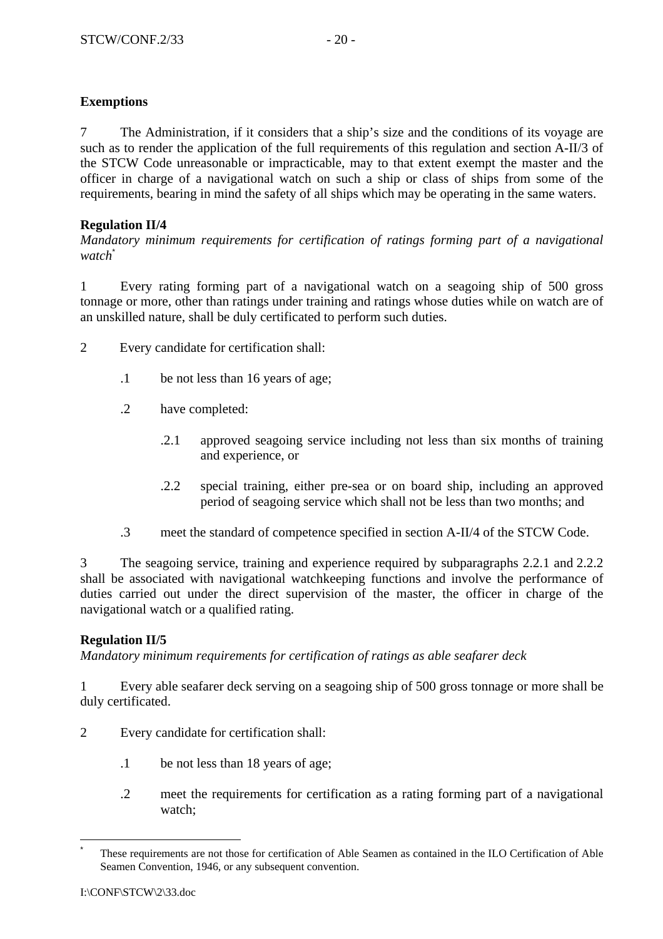# **Exemptions**

7 The Administration, if it considers that a ship's size and the conditions of its voyage are such as to render the application of the full requirements of this regulation and section A-II/3 of the STCW Code unreasonable or impracticable, may to that extent exempt the master and the officer in charge of a navigational watch on such a ship or class of ships from some of the requirements, bearing in mind the safety of all ships which may be operating in the same waters.

# **Regulation II/4**

*Mandatory minimum requirements for certification of ratings forming part of a navigational watch*\*

1 Every rating forming part of a navigational watch on a seagoing ship of 500 gross tonnage or more, other than ratings under training and ratings whose duties while on watch are of an unskilled nature, shall be duly certificated to perform such duties.

- 2 Every candidate for certification shall:
	- .1 be not less than 16 years of age;
	- .2 have completed:
		- .2.1 approved seagoing service including not less than six months of training and experience, or
		- .2.2 special training, either pre-sea or on board ship, including an approved period of seagoing service which shall not be less than two months; and
	- .3 meet the standard of competence specified in section A-II/4 of the STCW Code.

3 The seagoing service, training and experience required by subparagraphs 2.2.1 and 2.2.2 shall be associated with navigational watchkeeping functions and involve the performance of duties carried out under the direct supervision of the master, the officer in charge of the navigational watch or a qualified rating.

# **Regulation II/5**

*Mandatory minimum requirements for certification of ratings as able seafarer deck* 

1 Every able seafarer deck serving on a seagoing ship of 500 gross tonnage or more shall be duly certificated.

- 2 Every candidate for certification shall:
	- .1 be not less than 18 years of age;
	- .2 meet the requirements for certification as a rating forming part of a navigational watch;

 $\overline{a}$ 

<sup>\*</sup> These requirements are not those for certification of Able Seamen as contained in the ILO Certification of Able Seamen Convention, 1946, or any subsequent convention.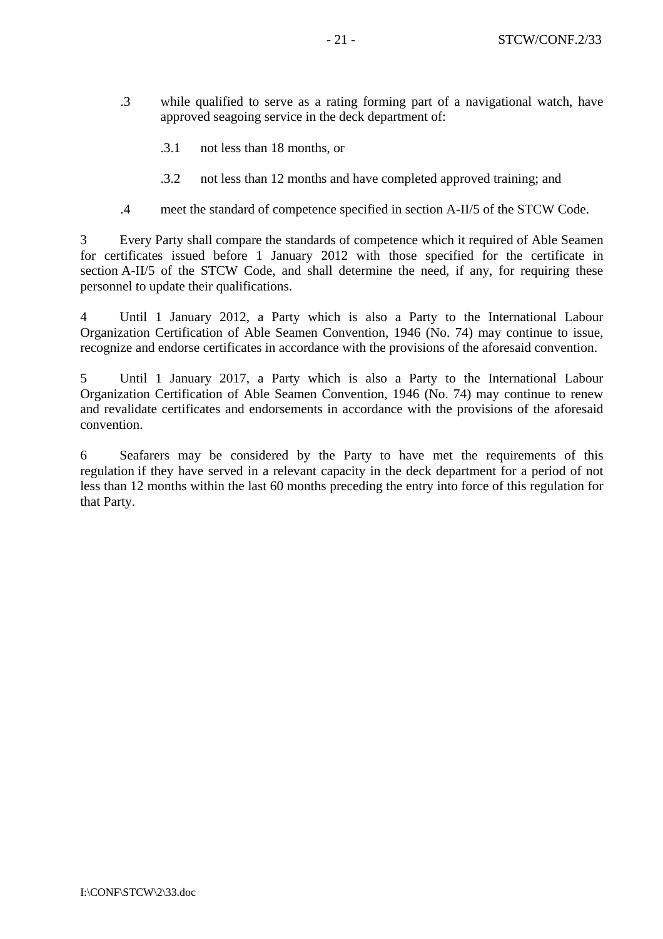- .3 while qualified to serve as a rating forming part of a navigational watch, have approved seagoing service in the deck department of:
	- .3.1 not less than 18 months, or
	- .3.2 not less than 12 months and have completed approved training; and
- .4 meet the standard of competence specified in section A-II/5 of the STCW Code.

3 Every Party shall compare the standards of competence which it required of Able Seamen for certificates issued before 1 January 2012 with those specified for the certificate in section A-II/5 of the STCW Code, and shall determine the need, if any, for requiring these personnel to update their qualifications.

4 Until 1 January 2012, a Party which is also a Party to the International Labour Organization Certification of Able Seamen Convention, 1946 (No. 74) may continue to issue, recognize and endorse certificates in accordance with the provisions of the aforesaid convention.

5 Until 1 January 2017, a Party which is also a Party to the International Labour Organization Certification of Able Seamen Convention, 1946 (No. 74) may continue to renew and revalidate certificates and endorsements in accordance with the provisions of the aforesaid convention.

6 Seafarers may be considered by the Party to have met the requirements of this regulation if they have served in a relevant capacity in the deck department for a period of not less than 12 months within the last 60 months preceding the entry into force of this regulation for that Party.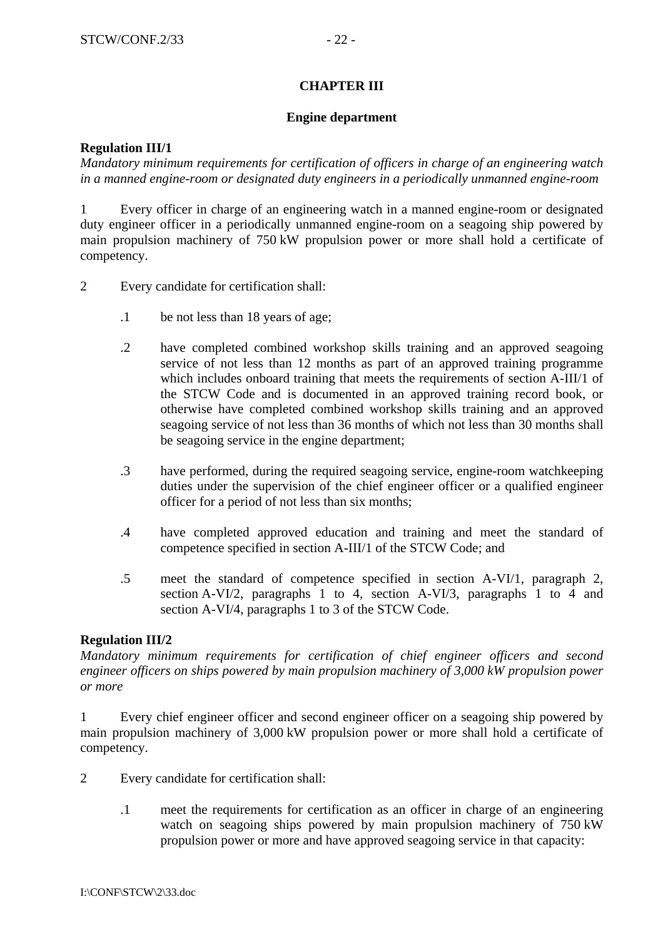### **CHAPTER III**

#### **Engine department**

### **Regulation III/1**

*Mandatory minimum requirements for certification of officers in charge of an engineering watch in a manned engine-room or designated duty engineers in a periodically unmanned engine-room* 

1 Every officer in charge of an engineering watch in a manned engine-room or designated duty engineer officer in a periodically unmanned engine-room on a seagoing ship powered by main propulsion machinery of 750 kW propulsion power or more shall hold a certificate of competency.

- 2 Every candidate for certification shall:
	- .1 be not less than 18 years of age;
	- .2 have completed combined workshop skills training and an approved seagoing service of not less than 12 months as part of an approved training programme which includes onboard training that meets the requirements of section A-III/1 of the STCW Code and is documented in an approved training record book, or otherwise have completed combined workshop skills training and an approved seagoing service of not less than 36 months of which not less than 30 months shall be seagoing service in the engine department;
	- .3 have performed, during the required seagoing service, engine-room watchkeeping duties under the supervision of the chief engineer officer or a qualified engineer officer for a period of not less than six months;
	- .4 have completed approved education and training and meet the standard of competence specified in section A-III/1 of the STCW Code; and
	- .5 meet the standard of competence specified in section A-VI/1, paragraph 2, section A-VI/2, paragraphs 1 to 4, section A-VI/3, paragraphs 1 to 4 and section A-VI/4, paragraphs 1 to 3 of the STCW Code.

### **Regulation III/2**

*Mandatory minimum requirements for certification of chief engineer officers and second engineer officers on ships powered by main propulsion machinery of 3,000 kW propulsion power or more* 

1 Every chief engineer officer and second engineer officer on a seagoing ship powered by main propulsion machinery of 3,000 kW propulsion power or more shall hold a certificate of competency.

- 2 Every candidate for certification shall:
	- .1 meet the requirements for certification as an officer in charge of an engineering watch on seagoing ships powered by main propulsion machinery of 750 kW propulsion power or more and have approved seagoing service in that capacity: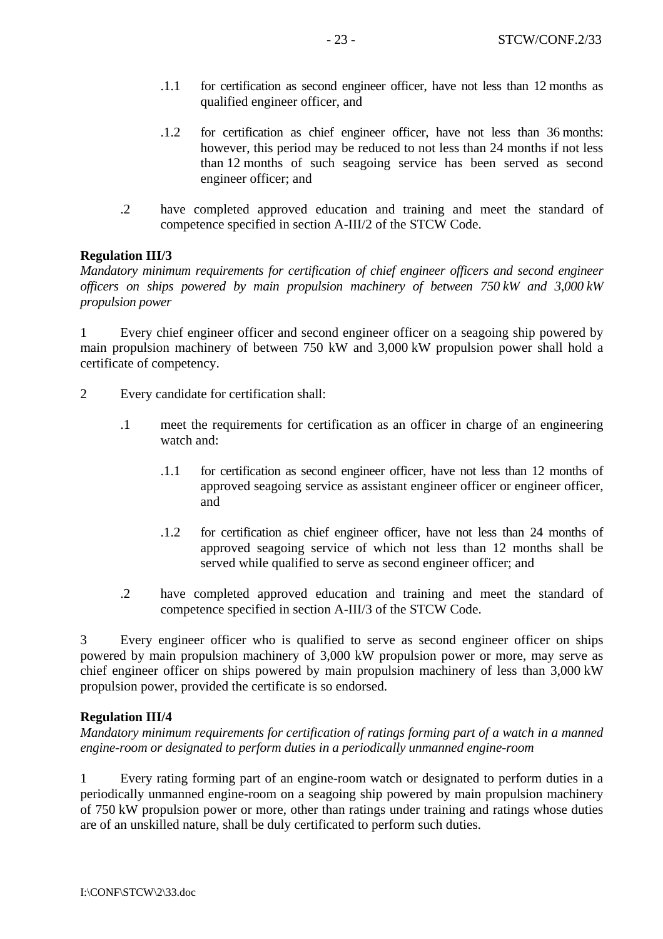- .1.1 for certification as second engineer officer, have not less than 12 months as qualified engineer officer, and
- .1.2 for certification as chief engineer officer, have not less than 36 months: however, this period may be reduced to not less than 24 months if not less than 12 months of such seagoing service has been served as second engineer officer; and
- .2 have completed approved education and training and meet the standard of competence specified in section A-III/2 of the STCW Code.

#### **Regulation III/3**

*Mandatory minimum requirements for certification of chief engineer officers and second engineer officers on ships powered by main propulsion machinery of between 750 kW and 3,000 kW propulsion power*

1 Every chief engineer officer and second engineer officer on a seagoing ship powered by main propulsion machinery of between 750 kW and 3,000 kW propulsion power shall hold a certificate of competency.

- 2 Every candidate for certification shall:
	- .1 meet the requirements for certification as an officer in charge of an engineering watch and:
		- .1.1 for certification as second engineer officer, have not less than 12 months of approved seagoing service as assistant engineer officer or engineer officer, and
		- .1.2 for certification as chief engineer officer, have not less than 24 months of approved seagoing service of which not less than 12 months shall be served while qualified to serve as second engineer officer; and
	- .2 have completed approved education and training and meet the standard of competence specified in section A-III/3 of the STCW Code.

3 Every engineer officer who is qualified to serve as second engineer officer on ships powered by main propulsion machinery of 3,000 kW propulsion power or more, may serve as chief engineer officer on ships powered by main propulsion machinery of less than 3,000 kW propulsion power, provided the certificate is so endorsed.

#### **Regulation III/4**

*Mandatory minimum requirements for certification of ratings forming part of a watch in a manned engine-room or designated to perform duties in a periodically unmanned engine-room* 

1 Every rating forming part of an engine-room watch or designated to perform duties in a periodically unmanned engine-room on a seagoing ship powered by main propulsion machinery of 750 kW propulsion power or more, other than ratings under training and ratings whose duties are of an unskilled nature, shall be duly certificated to perform such duties.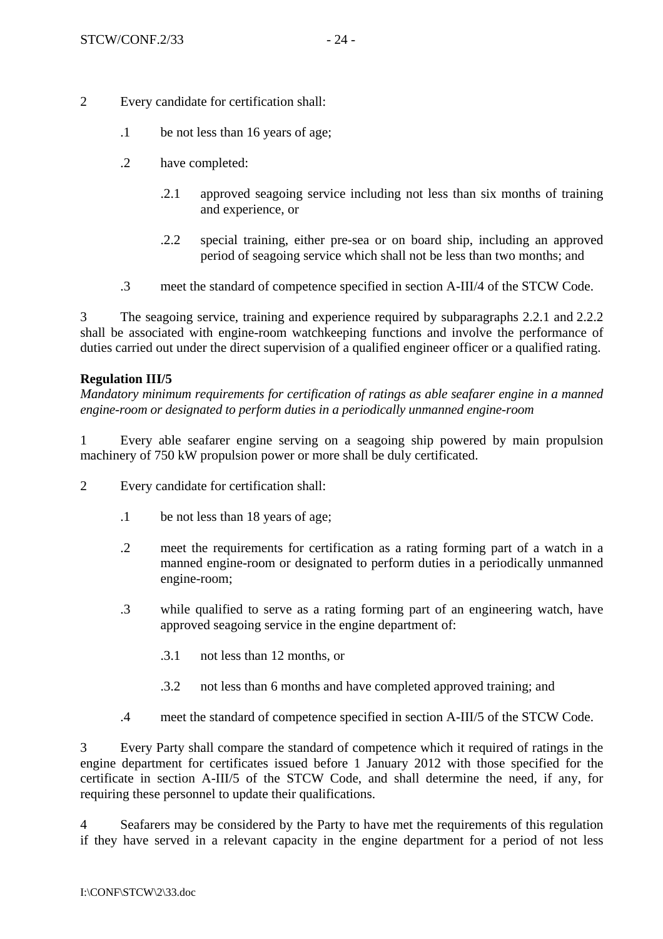- 2 Every candidate for certification shall:
	- .1 be not less than 16 years of age;
	- .2 have completed:
		- .2.1 approved seagoing service including not less than six months of training and experience, or
		- .2.2 special training, either pre-sea or on board ship, including an approved period of seagoing service which shall not be less than two months; and
	- .3 meet the standard of competence specified in section A-III/4 of the STCW Code.

3 The seagoing service, training and experience required by subparagraphs 2.2.1 and 2.2.2 shall be associated with engine-room watchkeeping functions and involve the performance of duties carried out under the direct supervision of a qualified engineer officer or a qualified rating.

### **Regulation III/5**

*Mandatory minimum requirements for certification of ratings as able seafarer engine in a manned engine-room or designated to perform duties in a periodically unmanned engine-room* 

1 Every able seafarer engine serving on a seagoing ship powered by main propulsion machinery of 750 kW propulsion power or more shall be duly certificated.

- 2 Every candidate for certification shall:
	- .1 be not less than 18 years of age;
	- .2 meet the requirements for certification as a rating forming part of a watch in a manned engine-room or designated to perform duties in a periodically unmanned engine-room;
	- .3 while qualified to serve as a rating forming part of an engineering watch, have approved seagoing service in the engine department of:
		- .3.1 not less than 12 months, or
		- .3.2 not less than 6 months and have completed approved training; and
	- .4 meet the standard of competence specified in section A-III/5 of the STCW Code.

3 Every Party shall compare the standard of competence which it required of ratings in the engine department for certificates issued before 1 January 2012 with those specified for the certificate in section A-III/5 of the STCW Code, and shall determine the need, if any, for requiring these personnel to update their qualifications.

4 Seafarers may be considered by the Party to have met the requirements of this regulation if they have served in a relevant capacity in the engine department for a period of not less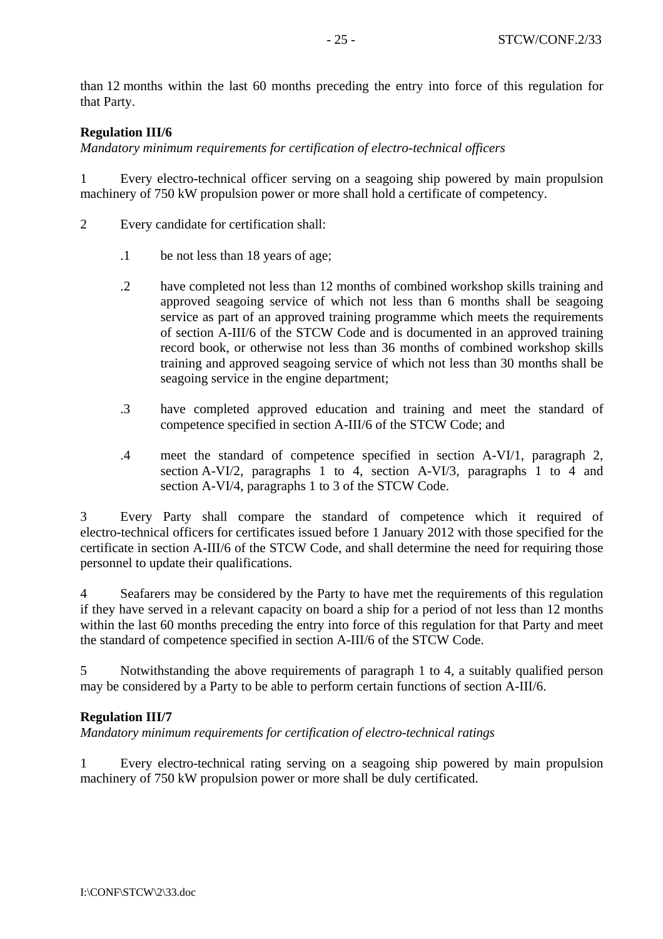than 12 months within the last 60 months preceding the entry into force of this regulation for that Party.

### **Regulation III/6**

*Mandatory minimum requirements for certification of electro-technical officers* 

1 Every electro-technical officer serving on a seagoing ship powered by main propulsion machinery of 750 kW propulsion power or more shall hold a certificate of competency.

- 2 Every candidate for certification shall:
	- .1 be not less than 18 years of age;
	- .2 have completed not less than 12 months of combined workshop skills training and approved seagoing service of which not less than 6 months shall be seagoing service as part of an approved training programme which meets the requirements of section A-III/6 of the STCW Code and is documented in an approved training record book, or otherwise not less than 36 months of combined workshop skills training and approved seagoing service of which not less than 30 months shall be seagoing service in the engine department;
	- .3 have completed approved education and training and meet the standard of competence specified in section A-III/6 of the STCW Code; and
	- .4 meet the standard of competence specified in section A-VI/1, paragraph 2, section A-VI/2, paragraphs 1 to 4, section A-VI/3, paragraphs 1 to 4 and section A-VI/4, paragraphs 1 to 3 of the STCW Code.

3 Every Party shall compare the standard of competence which it required of electro-technical officers for certificates issued before 1 January 2012 with those specified for the certificate in section A-III/6 of the STCW Code, and shall determine the need for requiring those personnel to update their qualifications.

4 Seafarers may be considered by the Party to have met the requirements of this regulation if they have served in a relevant capacity on board a ship for a period of not less than 12 months within the last 60 months preceding the entry into force of this regulation for that Party and meet the standard of competence specified in section A-III/6 of the STCW Code.

5 Notwithstanding the above requirements of paragraph 1 to 4, a suitably qualified person may be considered by a Party to be able to perform certain functions of section A-III/6.

#### **Regulation III/7**

*Mandatory minimum requirements for certification of electro-technical ratings* 

1 Every electro-technical rating serving on a seagoing ship powered by main propulsion machinery of 750 kW propulsion power or more shall be duly certificated.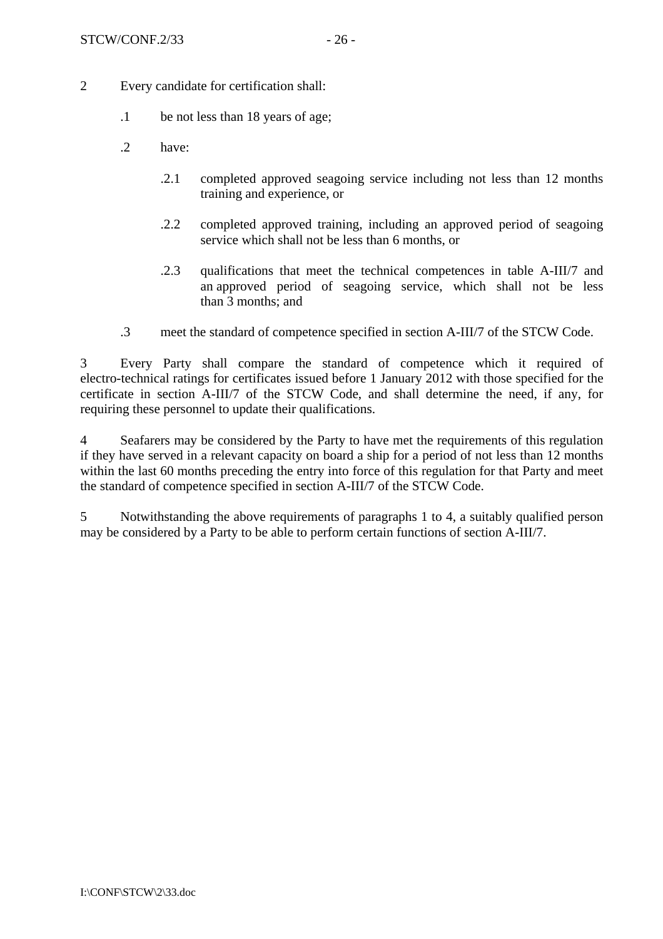- 2 Every candidate for certification shall:
	- .1 be not less than 18 years of age;
	- .2 have:
		- .2.1 completed approved seagoing service including not less than 12 months training and experience, or
		- .2.2 completed approved training, including an approved period of seagoing service which shall not be less than 6 months, or
		- .2.3 qualifications that meet the technical competences in table A-III/7 and an approved period of seagoing service, which shall not be less than 3 months; and
	- .3 meet the standard of competence specified in section A-III/7 of the STCW Code.

3 Every Party shall compare the standard of competence which it required of electro-technical ratings for certificates issued before 1 January 2012 with those specified for the certificate in section A-III/7 of the STCW Code, and shall determine the need, if any, for requiring these personnel to update their qualifications.

4 Seafarers may be considered by the Party to have met the requirements of this regulation if they have served in a relevant capacity on board a ship for a period of not less than 12 months within the last 60 months preceding the entry into force of this regulation for that Party and meet the standard of competence specified in section A-III/7 of the STCW Code.

5 Notwithstanding the above requirements of paragraphs 1 to 4, a suitably qualified person may be considered by a Party to be able to perform certain functions of section A-III/7.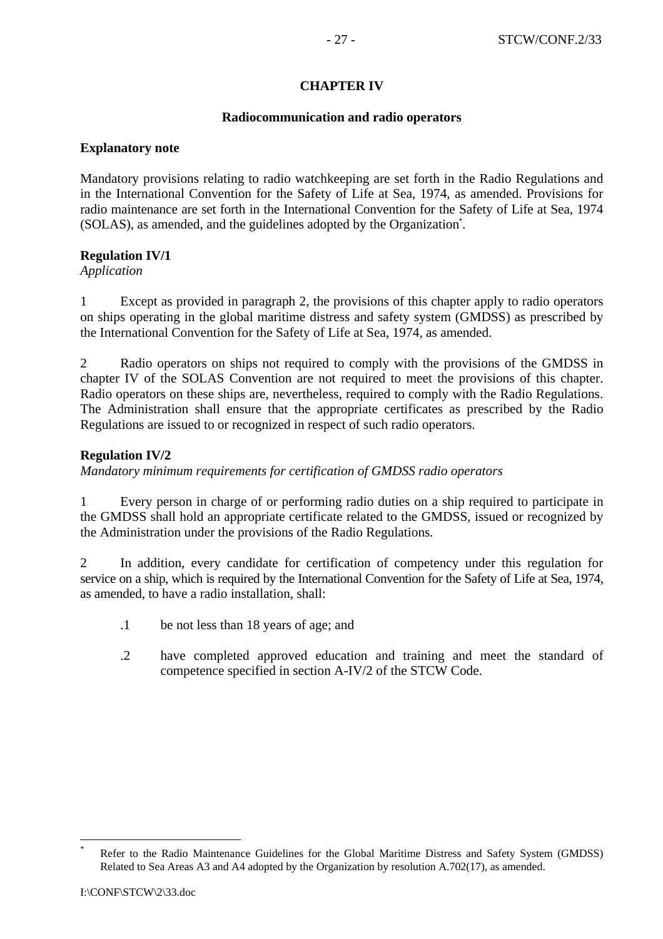### **CHAPTER IV**

#### **Radiocommunication and radio operators**

#### **Explanatory note**

Mandatory provisions relating to radio watchkeeping are set forth in the Radio Regulations and in the International Convention for the Safety of Life at Sea, 1974, as amended. Provisions for radio maintenance are set forth in the International Convention for the Safety of Life at Sea, 1974 (SOLAS), as amended, and the guidelines adopted by the Organization\* .

### **Regulation IV/1**

*Application*

1 Except as provided in paragraph 2, the provisions of this chapter apply to radio operators on ships operating in the global maritime distress and safety system (GMDSS) as prescribed by the International Convention for the Safety of Life at Sea, 1974, as amended.

2 Radio operators on ships not required to comply with the provisions of the GMDSS in chapter IV of the SOLAS Convention are not required to meet the provisions of this chapter. Radio operators on these ships are, nevertheless, required to comply with the Radio Regulations. The Administration shall ensure that the appropriate certificates as prescribed by the Radio Regulations are issued to or recognized in respect of such radio operators.

#### **Regulation IV/2**

*Mandatory minimum requirements for certification of GMDSS radio operators* 

1 Every person in charge of or performing radio duties on a ship required to participate in the GMDSS shall hold an appropriate certificate related to the GMDSS, issued or recognized by the Administration under the provisions of the Radio Regulations*.*

2 In addition, every candidate for certification of competency under this regulation for service on a ship, which is required by the International Convention for the Safety of Life at Sea, 1974, as amended, to have a radio installation, shall:

- .1 be not less than 18 years of age; and
- .2 have completed approved education and training and meet the standard of competence specified in section A-IV/2 of the STCW Code.

 $\overline{a}$ 

<sup>\*</sup> Refer to the Radio Maintenance Guidelines for the Global Maritime Distress and Safety System (GMDSS) Related to Sea Areas A3 and A4 adopted by the Organization by resolution A.702(17), as amended.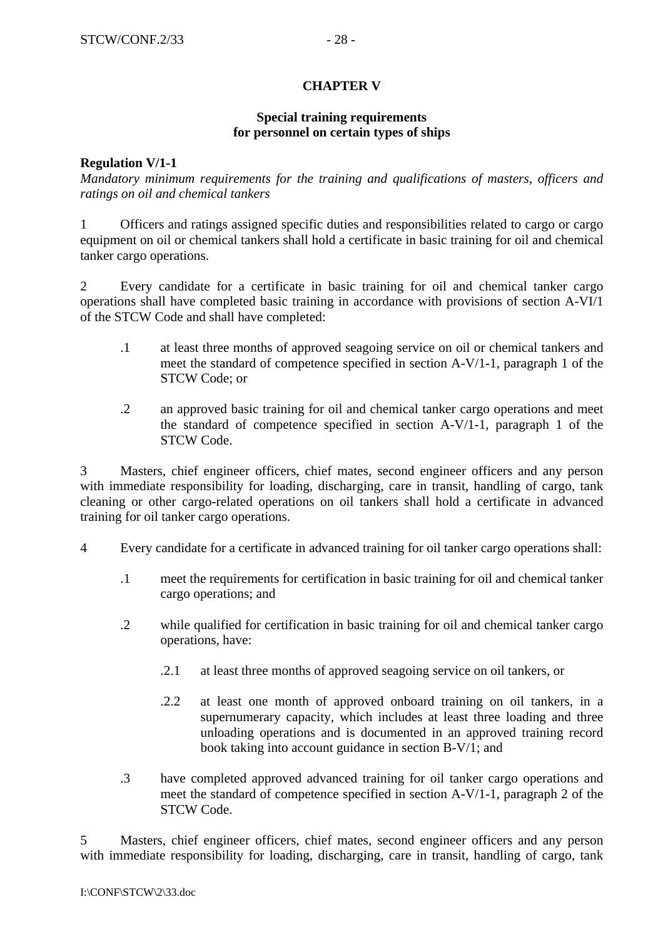## **CHAPTER V**

### **Special training requirements for personnel on certain types of ships**

#### **Regulation V/1-1**

*Mandatory minimum requirements for the training and qualifications of masters, officers and ratings on oil and chemical tankers* 

1 Officers and ratings assigned specific duties and responsibilities related to cargo or cargo equipment on oil or chemical tankers shall hold a certificate in basic training for oil and chemical tanker cargo operations.

2 Every candidate for a certificate in basic training for oil and chemical tanker cargo operations shall have completed basic training in accordance with provisions of section A-VI/1 of the STCW Code and shall have completed:

- .1 at least three months of approved seagoing service on oil or chemical tankers and meet the standard of competence specified in section A-V/1-1, paragraph 1 of the STCW Code; or
- .2 an approved basic training for oil and chemical tanker cargo operations and meet the standard of competence specified in section A-V/1-1, paragraph 1 of the STCW Code.

3 Masters, chief engineer officers, chief mates, second engineer officers and any person with immediate responsibility for loading, discharging, care in transit, handling of cargo, tank cleaning or other cargo-related operations on oil tankers shall hold a certificate in advanced training for oil tanker cargo operations.

- 4 Every candidate for a certificate in advanced training for oil tanker cargo operations shall:
	- .1 meet the requirements for certification in basic training for oil and chemical tanker cargo operations; and
	- .2 while qualified for certification in basic training for oil and chemical tanker cargo operations, have:
		- .2.1 at least three months of approved seagoing service on oil tankers, or
		- .2.2 at least one month of approved onboard training on oil tankers, in a supernumerary capacity, which includes at least three loading and three unloading operations and is documented in an approved training record book taking into account guidance in section B-V/1; and
	- .3 have completed approved advanced training for oil tanker cargo operations and meet the standard of competence specified in section A-V/1-1, paragraph 2 of the STCW Code.

5 Masters, chief engineer officers, chief mates, second engineer officers and any person with immediate responsibility for loading, discharging, care in transit, handling of cargo, tank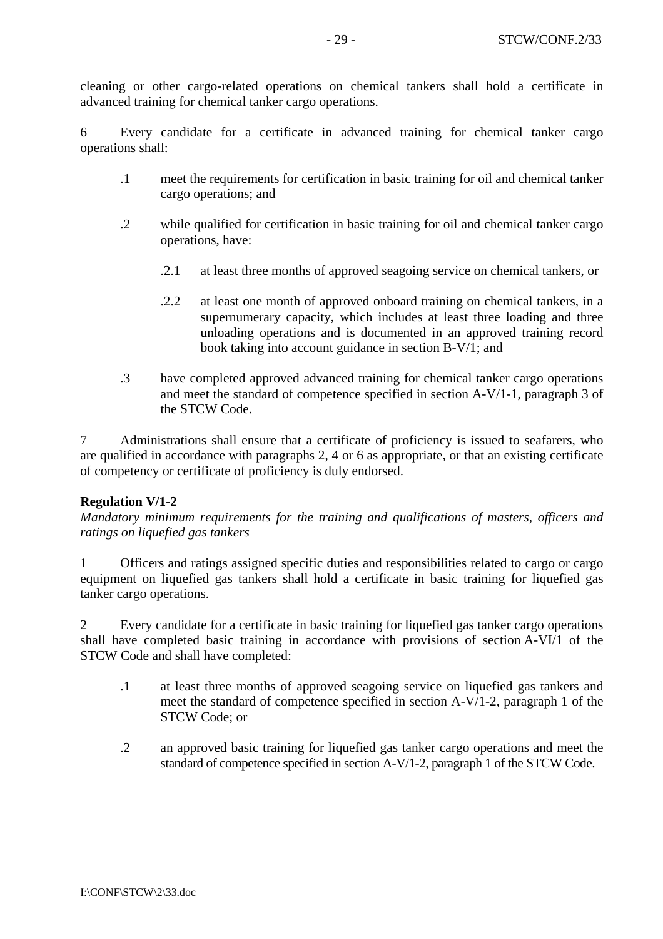cleaning or other cargo-related operations on chemical tankers shall hold a certificate in advanced training for chemical tanker cargo operations.

6 Every candidate for a certificate in advanced training for chemical tanker cargo operations shall:

- .1 meet the requirements for certification in basic training for oil and chemical tanker cargo operations; and
- .2 while qualified for certification in basic training for oil and chemical tanker cargo operations, have:
	- .2.1 at least three months of approved seagoing service on chemical tankers, or
	- .2.2 at least one month of approved onboard training on chemical tankers, in a supernumerary capacity, which includes at least three loading and three unloading operations and is documented in an approved training record book taking into account guidance in section B-V/1; and
- .3 have completed approved advanced training for chemical tanker cargo operations and meet the standard of competence specified in section A-V/1-1, paragraph 3 of the STCW Code.

7 Administrations shall ensure that a certificate of proficiency is issued to seafarers, who are qualified in accordance with paragraphs 2, 4 or 6 as appropriate, or that an existing certificate of competency or certificate of proficiency is duly endorsed.

### **Regulation V/1-2**

*Mandatory minimum requirements for the training and qualifications of masters, officers and ratings on liquefied gas tankers* 

1 Officers and ratings assigned specific duties and responsibilities related to cargo or cargo equipment on liquefied gas tankers shall hold a certificate in basic training for liquefied gas tanker cargo operations.

2 Every candidate for a certificate in basic training for liquefied gas tanker cargo operations shall have completed basic training in accordance with provisions of section A-VI/1 of the STCW Code and shall have completed:

- .1 at least three months of approved seagoing service on liquefied gas tankers and meet the standard of competence specified in section A-V/1-2, paragraph 1 of the STCW Code; or
- .2 an approved basic training for liquefied gas tanker cargo operations and meet the standard of competence specified in section A-V/1-2, paragraph 1 of the STCW Code.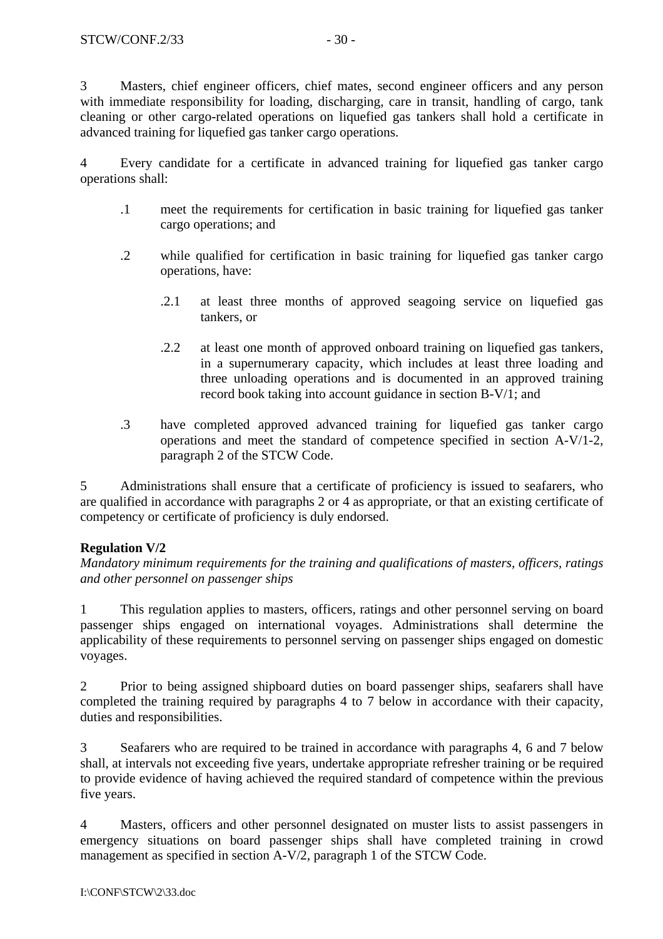3 Masters, chief engineer officers, chief mates, second engineer officers and any person with immediate responsibility for loading, discharging, care in transit, handling of cargo, tank cleaning or other cargo-related operations on liquefied gas tankers shall hold a certificate in advanced training for liquefied gas tanker cargo operations.

4 Every candidate for a certificate in advanced training for liquefied gas tanker cargo operations shall:

- .1 meet the requirements for certification in basic training for liquefied gas tanker cargo operations; and
- .2 while qualified for certification in basic training for liquefied gas tanker cargo operations, have:
	- .2.1 at least three months of approved seagoing service on liquefied gas tankers, or
	- .2.2 at least one month of approved onboard training on liquefied gas tankers, in a supernumerary capacity, which includes at least three loading and three unloading operations and is documented in an approved training record book taking into account guidance in section B-V/1; and
- .3 have completed approved advanced training for liquefied gas tanker cargo operations and meet the standard of competence specified in section A-V/1-2, paragraph 2 of the STCW Code.

5 Administrations shall ensure that a certificate of proficiency is issued to seafarers, who are qualified in accordance with paragraphs 2 or 4 as appropriate, or that an existing certificate of competency or certificate of proficiency is duly endorsed.

# **Regulation V/2**

*Mandatory minimum requirements for the training and qualifications of masters, officers, ratings and other personnel on passenger ships* 

1 This regulation applies to masters, officers, ratings and other personnel serving on board passenger ships engaged on international voyages. Administrations shall determine the applicability of these requirements to personnel serving on passenger ships engaged on domestic voyages.

2 Prior to being assigned shipboard duties on board passenger ships, seafarers shall have completed the training required by paragraphs 4 to 7 below in accordance with their capacity, duties and responsibilities.

3 Seafarers who are required to be trained in accordance with paragraphs 4, 6 and 7 below shall, at intervals not exceeding five years, undertake appropriate refresher training or be required to provide evidence of having achieved the required standard of competence within the previous five years.

4 Masters, officers and other personnel designated on muster lists to assist passengers in emergency situations on board passenger ships shall have completed training in crowd management as specified in section A-V/2, paragraph 1 of the STCW Code.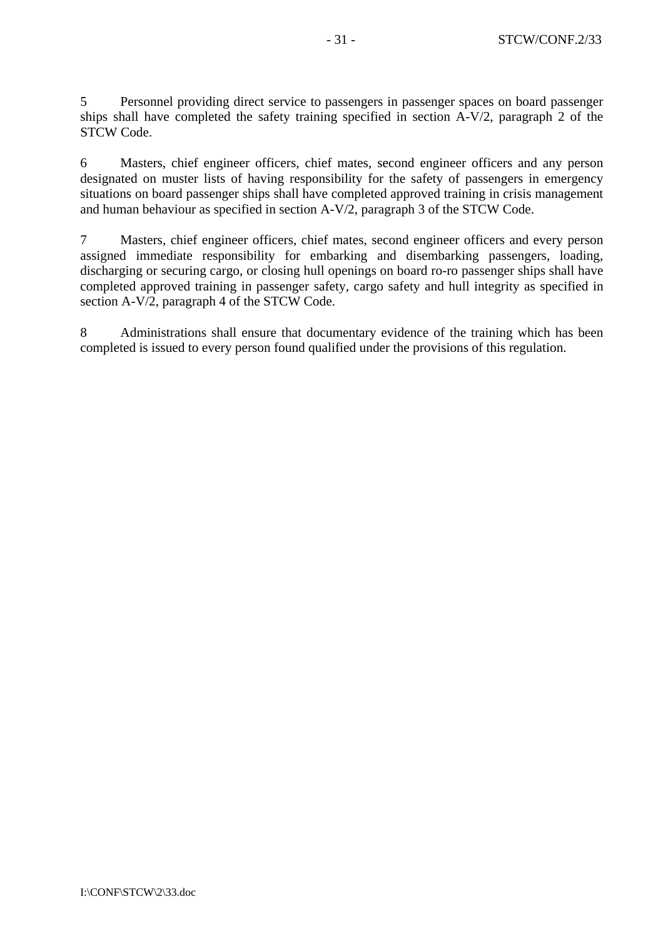5 Personnel providing direct service to passengers in passenger spaces on board passenger ships shall have completed the safety training specified in section A-V/2, paragraph 2 of the STCW Code.

6 Masters, chief engineer officers, chief mates, second engineer officers and any person designated on muster lists of having responsibility for the safety of passengers in emergency situations on board passenger ships shall have completed approved training in crisis management and human behaviour as specified in section A-V/2, paragraph 3 of the STCW Code.

7 Masters, chief engineer officers, chief mates, second engineer officers and every person assigned immediate responsibility for embarking and disembarking passengers, loading, discharging or securing cargo, or closing hull openings on board ro-ro passenger ships shall have completed approved training in passenger safety, cargo safety and hull integrity as specified in section A-V/2, paragraph 4 of the STCW Code.

8 Administrations shall ensure that documentary evidence of the training which has been completed is issued to every person found qualified under the provisions of this regulation.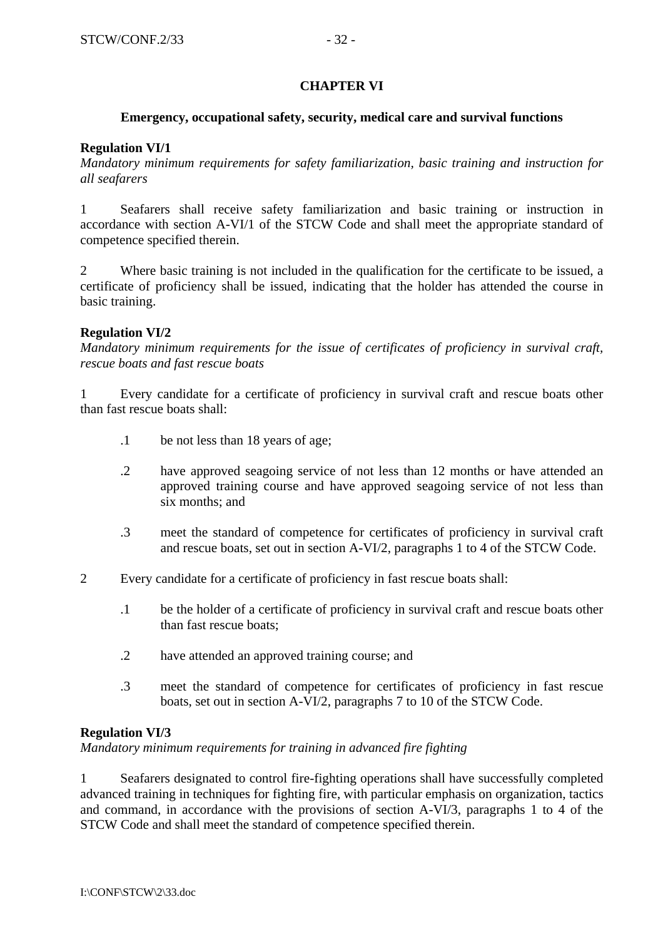### **CHAPTER VI**

### **Emergency, occupational safety, security, medical care and survival functions**

### **Regulation VI/1**

*Mandatory minimum requirements for safety familiarization, basic training and instruction for all seafarers* 

1 Seafarers shall receive safety familiarization and basic training or instruction in accordance with section A-VI/1 of the STCW Code and shall meet the appropriate standard of competence specified therein.

2 Where basic training is not included in the qualification for the certificate to be issued, a certificate of proficiency shall be issued, indicating that the holder has attended the course in basic training.

#### **Regulation VI/2**

*Mandatory minimum requirements for the issue of certificates of proficiency in survival craft, rescue boats and fast rescue boats*

1 Every candidate for a certificate of proficiency in survival craft and rescue boats other than fast rescue boats shall:

- .1 be not less than 18 years of age;
- .2 have approved seagoing service of not less than 12 months or have attended an approved training course and have approved seagoing service of not less than six months; and
- .3 meet the standard of competence for certificates of proficiency in survival craft and rescue boats, set out in section A-VI/2, paragraphs 1 to 4 of the STCW Code.
- 2 Every candidate for a certificate of proficiency in fast rescue boats shall:
	- .1 be the holder of a certificate of proficiency in survival craft and rescue boats other than fast rescue boats;
	- .2 have attended an approved training course; and
	- .3 meet the standard of competence for certificates of proficiency in fast rescue boats, set out in section A-VI/2, paragraphs 7 to 10 of the STCW Code.

#### **Regulation VI/3**

*Mandatory minimum requirements for training in advanced fire fighting* 

1 Seafarers designated to control fire-fighting operations shall have successfully completed advanced training in techniques for fighting fire, with particular emphasis on organization, tactics and command, in accordance with the provisions of section A-VI/3, paragraphs 1 to 4 of the STCW Code and shall meet the standard of competence specified therein.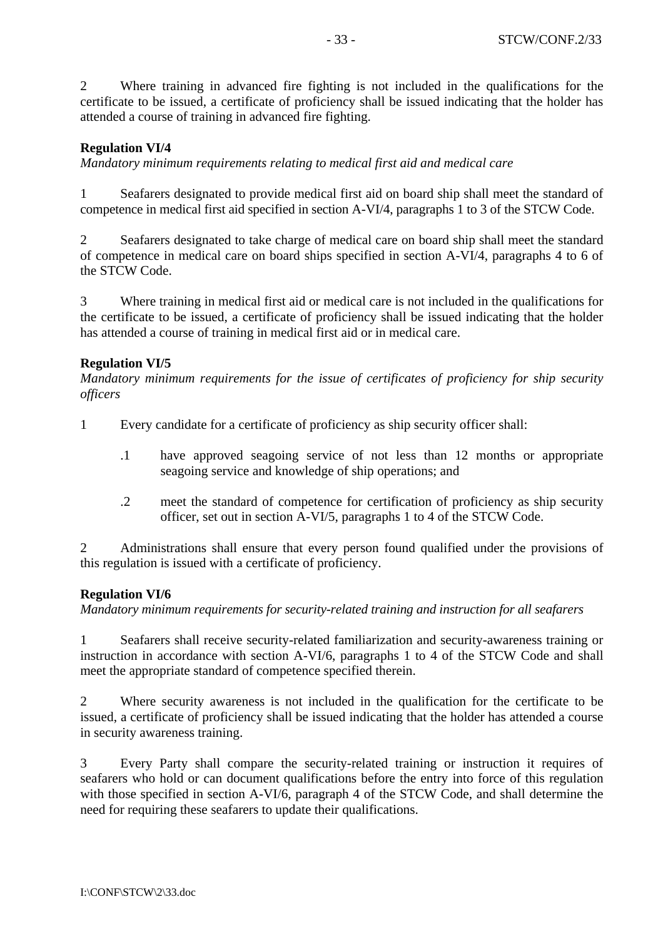2 Where training in advanced fire fighting is not included in the qualifications for the certificate to be issued, a certificate of proficiency shall be issued indicating that the holder has attended a course of training in advanced fire fighting.

# **Regulation VI/4**

*Mandatory minimum requirements relating to medical first aid and medical care* 

1 Seafarers designated to provide medical first aid on board ship shall meet the standard of competence in medical first aid specified in section A-VI/4, paragraphs 1 to 3 of the STCW Code.

2 Seafarers designated to take charge of medical care on board ship shall meet the standard of competence in medical care on board ships specified in section A-VI/4, paragraphs 4 to 6 of the STCW Code.

3 Where training in medical first aid or medical care is not included in the qualifications for the certificate to be issued, a certificate of proficiency shall be issued indicating that the holder has attended a course of training in medical first aid or in medical care.

# **Regulation VI/5**

*Mandatory minimum requirements for the issue of certificates of proficiency for ship security officers* 

- 1 Every candidate for a certificate of proficiency as ship security officer shall:
	- .1 have approved seagoing service of not less than 12 months or appropriate seagoing service and knowledge of ship operations; and
	- .2 meet the standard of competence for certification of proficiency as ship security officer, set out in section A-VI/5, paragraphs 1 to 4 of the STCW Code.

2 Administrations shall ensure that every person found qualified under the provisions of this regulation is issued with a certificate of proficiency.

# **Regulation VI/6**

*Mandatory minimum requirements for security-related training and instruction for all seafarers* 

1 Seafarers shall receive security-related familiarization and security-awareness training or instruction in accordance with section A-VI/6, paragraphs 1 to 4 of the STCW Code and shall meet the appropriate standard of competence specified therein.

2 Where security awareness is not included in the qualification for the certificate to be issued, a certificate of proficiency shall be issued indicating that the holder has attended a course in security awareness training.

3 Every Party shall compare the security-related training or instruction it requires of seafarers who hold or can document qualifications before the entry into force of this regulation with those specified in section A-VI/6, paragraph 4 of the STCW Code, and shall determine the need for requiring these seafarers to update their qualifications.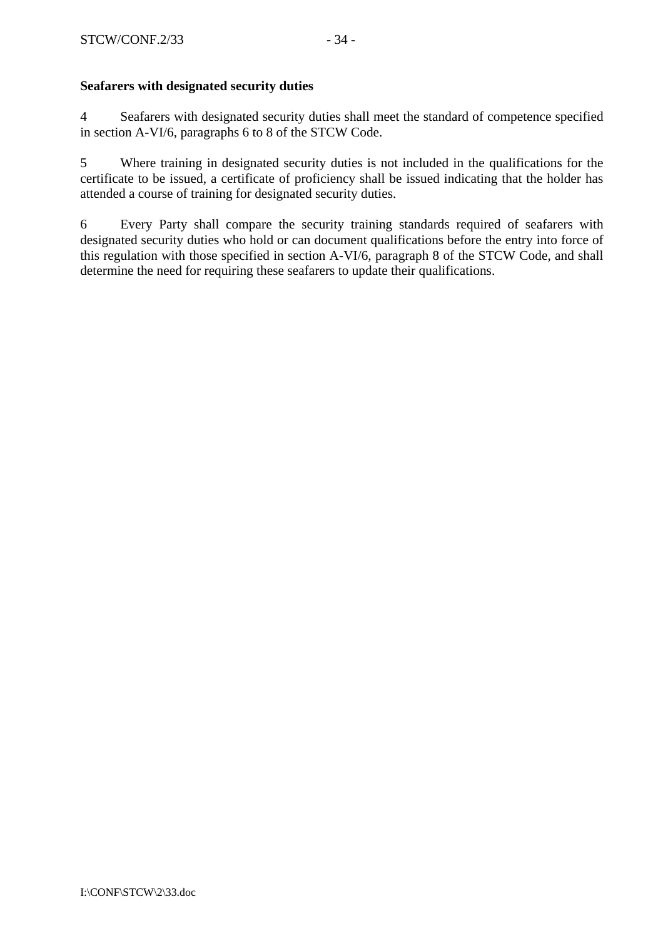## **Seafarers with designated security duties**

4 Seafarers with designated security duties shall meet the standard of competence specified in section A-VI/6, paragraphs 6 to 8 of the STCW Code.

5 Where training in designated security duties is not included in the qualifications for the certificate to be issued, a certificate of proficiency shall be issued indicating that the holder has attended a course of training for designated security duties.

6 Every Party shall compare the security training standards required of seafarers with designated security duties who hold or can document qualifications before the entry into force of this regulation with those specified in section A-VI/6, paragraph 8 of the STCW Code, and shall determine the need for requiring these seafarers to update their qualifications.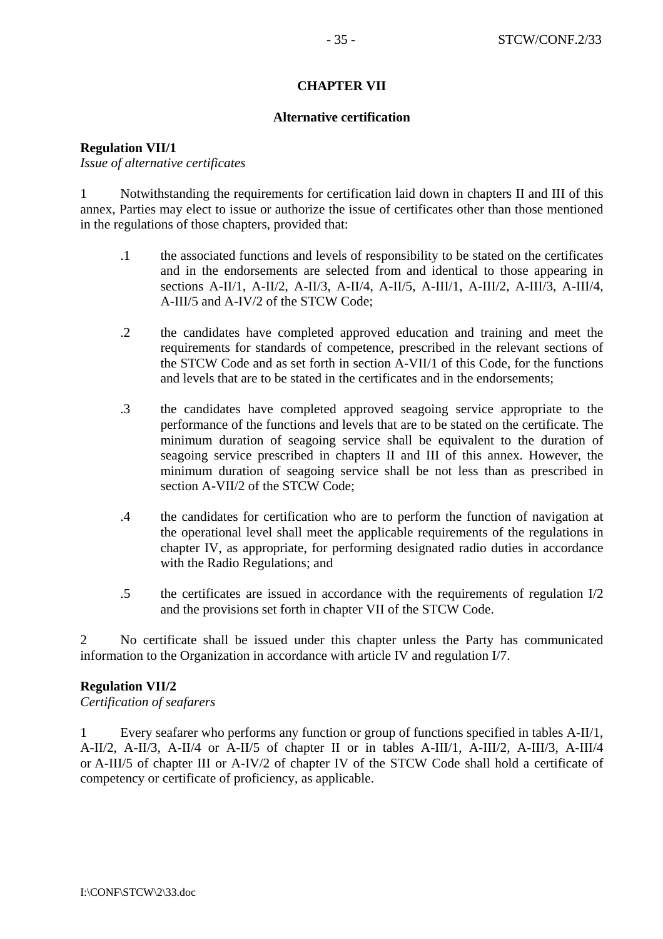### **CHAPTER VII**

#### **Alternative certification**

**Regulation VII/1** 

*Issue of alternative certificates* 

1 Notwithstanding the requirements for certification laid down in chapters II and III of this annex, Parties may elect to issue or authorize the issue of certificates other than those mentioned in the regulations of those chapters, provided that:

- .1 the associated functions and levels of responsibility to be stated on the certificates and in the endorsements are selected from and identical to those appearing in sections A-II/1, A-II/2, A-II/3, A-II/4, A-II/5, A-III/1, A-III/2, A-III/3, A-III/4, A-III/5 and A-IV/2 of the STCW Code;
- .2 the candidates have completed approved education and training and meet the requirements for standards of competence, prescribed in the relevant sections of the STCW Code and as set forth in section A-VII/1 of this Code, for the functions and levels that are to be stated in the certificates and in the endorsements;
- .3 the candidates have completed approved seagoing service appropriate to the performance of the functions and levels that are to be stated on the certificate. The minimum duration of seagoing service shall be equivalent to the duration of seagoing service prescribed in chapters II and III of this annex. However, the minimum duration of seagoing service shall be not less than as prescribed in section A-VII/2 of the STCW Code:
- .4 the candidates for certification who are to perform the function of navigation at the operational level shall meet the applicable requirements of the regulations in chapter IV, as appropriate, for performing designated radio duties in accordance with the Radio Regulations; and
- .5 the certificates are issued in accordance with the requirements of regulation I/2 and the provisions set forth in chapter VII of the STCW Code.

2 No certificate shall be issued under this chapter unless the Party has communicated information to the Organization in accordance with article IV and regulation I/7.

#### **Regulation VII/2**

*Certification of seafarers*

1 Every seafarer who performs any function or group of functions specified in tables A-II/1, A-II/2, A-II/3, A-II/4 or A-II/5 of chapter II or in tables A-III/1, A-III/2, A-III/3, A-III/4 or A-III/5 of chapter III or A-IV/2 of chapter IV of the STCW Code shall hold a certificate of competency or certificate of proficiency, as applicable.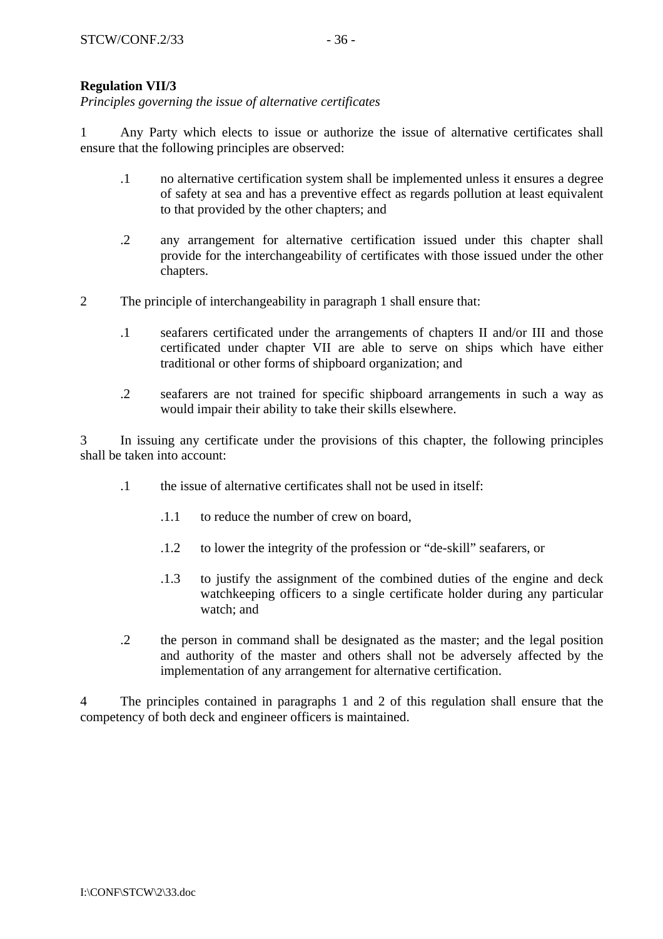# **Regulation VII/3**

*Principles governing the issue of alternative certificates* 

1 Any Party which elects to issue or authorize the issue of alternative certificates shall ensure that the following principles are observed:

- .1 no alternative certification system shall be implemented unless it ensures a degree of safety at sea and has a preventive effect as regards pollution at least equivalent to that provided by the other chapters; and
- .2 any arrangement for alternative certification issued under this chapter shall provide for the interchangeability of certificates with those issued under the other chapters.
- 2 The principle of interchangeability in paragraph 1 shall ensure that:
	- .1 seafarers certificated under the arrangements of chapters II and/or III and those certificated under chapter VII are able to serve on ships which have either traditional or other forms of shipboard organization; and
	- .2 seafarers are not trained for specific shipboard arrangements in such a way as would impair their ability to take their skills elsewhere.

3 In issuing any certificate under the provisions of this chapter, the following principles shall be taken into account:

- .1 the issue of alternative certificates shall not be used in itself:
	- .1.1 to reduce the number of crew on board,
	- .1.2 to lower the integrity of the profession or "de-skill" seafarers, or
	- .1.3 to justify the assignment of the combined duties of the engine and deck watchkeeping officers to a single certificate holder during any particular watch; and
- .2 the person in command shall be designated as the master; and the legal position and authority of the master and others shall not be adversely affected by the implementation of any arrangement for alternative certification.

4 The principles contained in paragraphs 1 and 2 of this regulation shall ensure that the competency of both deck and engineer officers is maintained.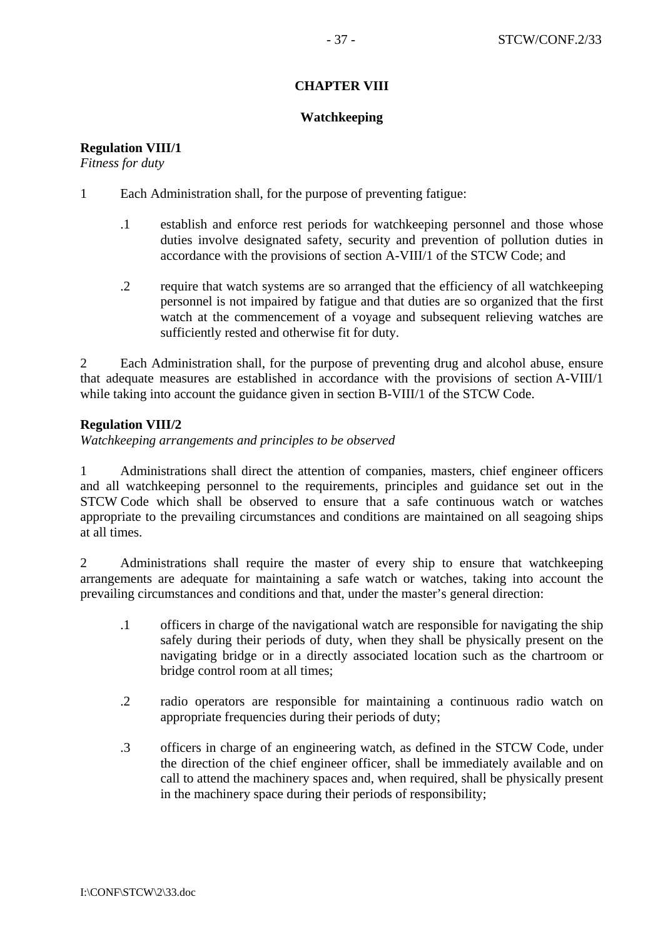# **CHAPTER VIII**

### **Watchkeeping**

# **Regulation VIII/1**

*Fitness for duty* 

- 1 Each Administration shall, for the purpose of preventing fatigue:
	- .1 establish and enforce rest periods for watchkeeping personnel and those whose duties involve designated safety, security and prevention of pollution duties in accordance with the provisions of section A-VIII/1 of the STCW Code; and
	- .2 require that watch systems are so arranged that the efficiency of all watchkeeping personnel is not impaired by fatigue and that duties are so organized that the first watch at the commencement of a voyage and subsequent relieving watches are sufficiently rested and otherwise fit for duty.

2 Each Administration shall, for the purpose of preventing drug and alcohol abuse, ensure that adequate measures are established in accordance with the provisions of section A-VIII/1 while taking into account the guidance given in section B-VIII/1 of the STCW Code.

# **Regulation VIII/2**

*Watchkeeping arrangements and principles to be observed* 

1 Administrations shall direct the attention of companies, masters, chief engineer officers and all watchkeeping personnel to the requirements, principles and guidance set out in the STCW Code which shall be observed to ensure that a safe continuous watch or watches appropriate to the prevailing circumstances and conditions are maintained on all seagoing ships at all times.

2 Administrations shall require the master of every ship to ensure that watchkeeping arrangements are adequate for maintaining a safe watch or watches, taking into account the prevailing circumstances and conditions and that, under the master's general direction:

- .1 officers in charge of the navigational watch are responsible for navigating the ship safely during their periods of duty, when they shall be physically present on the navigating bridge or in a directly associated location such as the chartroom or bridge control room at all times;
- .2 radio operators are responsible for maintaining a continuous radio watch on appropriate frequencies during their periods of duty;
- .3 officers in charge of an engineering watch, as defined in the STCW Code, under the direction of the chief engineer officer, shall be immediately available and on call to attend the machinery spaces and, when required, shall be physically present in the machinery space during their periods of responsibility;